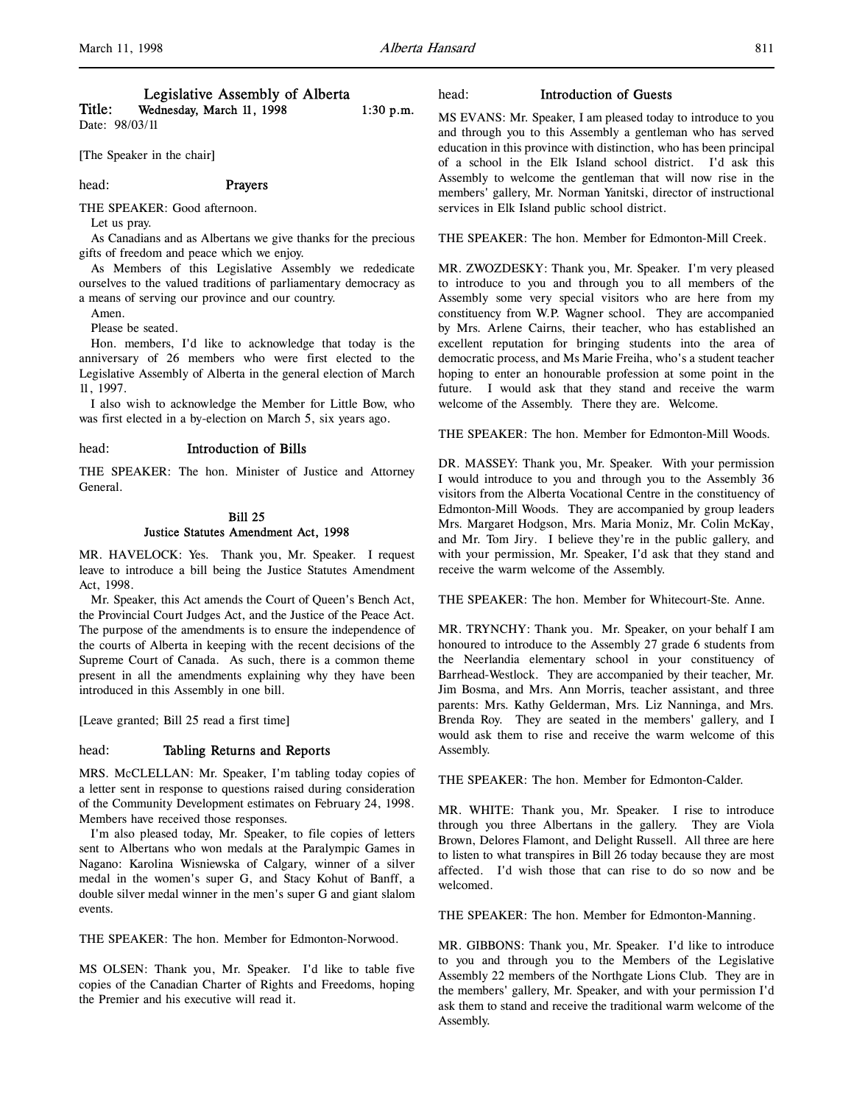# Legislative Assembly of Alberta

Title: Wednesday, March 11, 1998  $1:30 \text{ p.m.}$ Date: 98/03/11

[The Speaker in the chair]

# head: Prayers

THE SPEAKER: Good afternoon.

Let us pray.

As Canadians and as Albertans we give thanks for the precious gifts of freedom and peace which we enjoy.

As Members of this Legislative Assembly we rededicate ourselves to the valued traditions of parliamentary democracy as a means of serving our province and our country.

Amen.

Please be seated.

Hon. members, I'd like to acknowledge that today is the anniversary of 26 members who were first elected to the Legislative Assembly of Alberta in the general election of March 11, 1997.

I also wish to acknowledge the Member for Little Bow, who was first elected in a by-election on March 5, six years ago.

#### head: Introduction of Bills

THE SPEAKER: The hon. Minister of Justice and Attorney General.

# Bill 25

#### Justice Statutes Amendment Act, 1998

MR. HAVELOCK: Yes. Thank you, Mr. Speaker. I request leave to introduce a bill being the Justice Statutes Amendment Act, 1998.

Mr. Speaker, this Act amends the Court of Queen's Bench Act, the Provincial Court Judges Act, and the Justice of the Peace Act. The purpose of the amendments is to ensure the independence of the courts of Alberta in keeping with the recent decisions of the Supreme Court of Canada. As such, there is a common theme present in all the amendments explaining why they have been introduced in this Assembly in one bill.

[Leave granted; Bill 25 read a first time]

#### head: Tabling Returns and Reports

MRS. McCLELLAN: Mr. Speaker, I'm tabling today copies of a letter sent in response to questions raised during consideration of the Community Development estimates on February 24, 1998. Members have received those responses.

I'm also pleased today, Mr. Speaker, to file copies of letters sent to Albertans who won medals at the Paralympic Games in Nagano: Karolina Wisniewska of Calgary, winner of a silver medal in the women's super G, and Stacy Kohut of Banff, a double silver medal winner in the men's super G and giant slalom events.

THE SPEAKER: The hon. Member for Edmonton-Norwood.

MS OLSEN: Thank you, Mr. Speaker. I'd like to table five copies of the Canadian Charter of Rights and Freedoms, hoping the Premier and his executive will read it.

#### head: Introduction of Guests

MS EVANS: Mr. Speaker, I am pleased today to introduce to you and through you to this Assembly a gentleman who has served education in this province with distinction, who has been principal of a school in the Elk Island school district. I'd ask this Assembly to welcome the gentleman that will now rise in the members' gallery, Mr. Norman Yanitski, director of instructional services in Elk Island public school district.

THE SPEAKER: The hon. Member for Edmonton-Mill Creek.

MR. ZWOZDESKY: Thank you, Mr. Speaker. I'm very pleased to introduce to you and through you to all members of the Assembly some very special visitors who are here from my constituency from W.P. Wagner school. They are accompanied by Mrs. Arlene Cairns, their teacher, who has established an excellent reputation for bringing students into the area of democratic process, and Ms Marie Freiha, who's a student teacher hoping to enter an honourable profession at some point in the future. I would ask that they stand and receive the warm welcome of the Assembly. There they are. Welcome.

THE SPEAKER: The hon. Member for Edmonton-Mill Woods.

DR. MASSEY: Thank you, Mr. Speaker. With your permission I would introduce to you and through you to the Assembly 36 visitors from the Alberta Vocational Centre in the constituency of Edmonton-Mill Woods. They are accompanied by group leaders Mrs. Margaret Hodgson, Mrs. Maria Moniz, Mr. Colin McKay, and Mr. Tom Jiry. I believe they're in the public gallery, and with your permission, Mr. Speaker, I'd ask that they stand and receive the warm welcome of the Assembly.

THE SPEAKER: The hon. Member for Whitecourt-Ste. Anne.

MR. TRYNCHY: Thank you. Mr. Speaker, on your behalf I am honoured to introduce to the Assembly 27 grade 6 students from the Neerlandia elementary school in your constituency of Barrhead-Westlock. They are accompanied by their teacher, Mr. Jim Bosma, and Mrs. Ann Morris, teacher assistant, and three parents: Mrs. Kathy Gelderman, Mrs. Liz Nanninga, and Mrs. Brenda Roy. They are seated in the members' gallery, and I would ask them to rise and receive the warm welcome of this Assembly.

THE SPEAKER: The hon. Member for Edmonton-Calder.

MR. WHITE: Thank you, Mr. Speaker. I rise to introduce through you three Albertans in the gallery. They are Viola Brown, Delores Flamont, and Delight Russell. All three are here to listen to what transpires in Bill 26 today because they are most affected. I'd wish those that can rise to do so now and be welcomed.

THE SPEAKER: The hon. Member for Edmonton-Manning.

MR. GIBBONS: Thank you, Mr. Speaker. I'd like to introduce to you and through you to the Members of the Legislative Assembly 22 members of the Northgate Lions Club. They are in the members' gallery, Mr. Speaker, and with your permission I'd ask them to stand and receive the traditional warm welcome of the Assembly.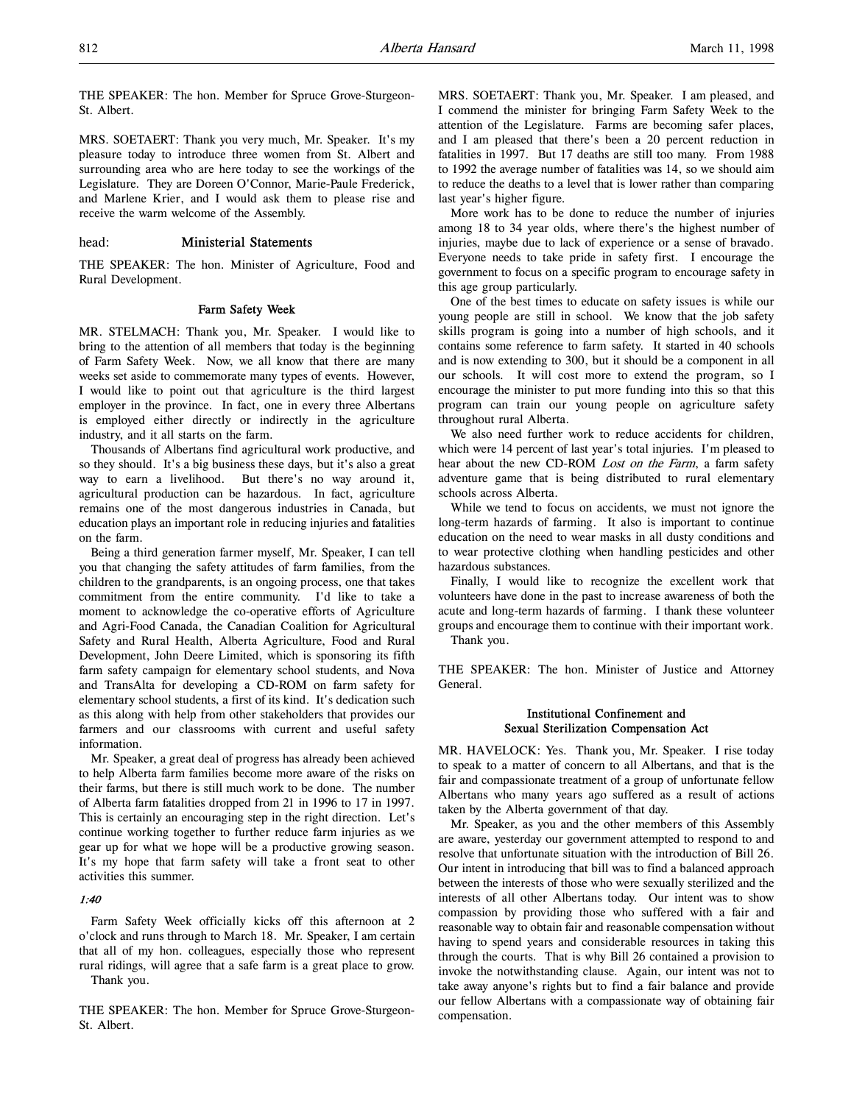THE SPEAKER: The hon. Member for Spruce Grove-Sturgeon-St. Albert.

MRS. SOETAERT: Thank you very much, Mr. Speaker. It's my pleasure today to introduce three women from St. Albert and surrounding area who are here today to see the workings of the Legislature. They are Doreen O'Connor, Marie-Paule Frederick, and Marlene Krier, and I would ask them to please rise and receive the warm welcome of the Assembly.

#### head: Ministerial Statements

THE SPEAKER: The hon. Minister of Agriculture, Food and Rural Development.

#### Farm Safety Week

MR. STELMACH: Thank you, Mr. Speaker. I would like to bring to the attention of all members that today is the beginning of Farm Safety Week. Now, we all know that there are many weeks set aside to commemorate many types of events. However, I would like to point out that agriculture is the third largest employer in the province. In fact, one in every three Albertans is employed either directly or indirectly in the agriculture industry, and it all starts on the farm.

Thousands of Albertans find agricultural work productive, and so they should. It's a big business these days, but it's also a great way to earn a livelihood. But there's no way around it, agricultural production can be hazardous. In fact, agriculture remains one of the most dangerous industries in Canada, but education plays an important role in reducing injuries and fatalities on the farm.

Being a third generation farmer myself, Mr. Speaker, I can tell you that changing the safety attitudes of farm families, from the children to the grandparents, is an ongoing process, one that takes commitment from the entire community. I'd like to take a moment to acknowledge the co-operative efforts of Agriculture and Agri-Food Canada, the Canadian Coalition for Agricultural Safety and Rural Health, Alberta Agriculture, Food and Rural Development, John Deere Limited, which is sponsoring its fifth farm safety campaign for elementary school students, and Nova and TransAlta for developing a CD-ROM on farm safety for elementary school students, a first of its kind. It's dedication such as this along with help from other stakeholders that provides our farmers and our classrooms with current and useful safety information.

Mr. Speaker, a great deal of progress has already been achieved to help Alberta farm families become more aware of the risks on their farms, but there is still much work to be done. The number of Alberta farm fatalities dropped from 21 in 1996 to 17 in 1997. This is certainly an encouraging step in the right direction. Let's continue working together to further reduce farm injuries as we gear up for what we hope will be a productive growing season. It's my hope that farm safety will take a front seat to other activities this summer.

## 1:40

Farm Safety Week officially kicks off this afternoon at 2 o'clock and runs through to March 18. Mr. Speaker, I am certain that all of my hon. colleagues, especially those who represent rural ridings, will agree that a safe farm is a great place to grow. Thank you.

THE SPEAKER: The hon. Member for Spruce Grove-Sturgeon-St. Albert.

MRS. SOETAERT: Thank you, Mr. Speaker. I am pleased, and I commend the minister for bringing Farm Safety Week to the attention of the Legislature. Farms are becoming safer places, and I am pleased that there's been a 20 percent reduction in fatalities in 1997. But 17 deaths are still too many. From 1988 to 1992 the average number of fatalities was 14, so we should aim to reduce the deaths to a level that is lower rather than comparing last year's higher figure.

More work has to be done to reduce the number of injuries among 18 to 34 year olds, where there's the highest number of injuries, maybe due to lack of experience or a sense of bravado. Everyone needs to take pride in safety first. I encourage the government to focus on a specific program to encourage safety in this age group particularly.

One of the best times to educate on safety issues is while our young people are still in school. We know that the job safety skills program is going into a number of high schools, and it contains some reference to farm safety. It started in 40 schools and is now extending to 300, but it should be a component in all our schools. It will cost more to extend the program, so I encourage the minister to put more funding into this so that this program can train our young people on agriculture safety throughout rural Alberta.

We also need further work to reduce accidents for children, which were 14 percent of last year's total injuries. I'm pleased to hear about the new CD-ROM Lost on the Farm, a farm safety adventure game that is being distributed to rural elementary schools across Alberta.

While we tend to focus on accidents, we must not ignore the long-term hazards of farming. It also is important to continue education on the need to wear masks in all dusty conditions and to wear protective clothing when handling pesticides and other hazardous substances.

Finally, I would like to recognize the excellent work that volunteers have done in the past to increase awareness of both the acute and long-term hazards of farming. I thank these volunteer groups and encourage them to continue with their important work.

Thank you.

THE SPEAKER: The hon. Minister of Justice and Attorney General.

#### Institutional Confinement and Sexual Sterilization Compensation Act

MR. HAVELOCK: Yes. Thank you, Mr. Speaker. I rise today to speak to a matter of concern to all Albertans, and that is the fair and compassionate treatment of a group of unfortunate fellow Albertans who many years ago suffered as a result of actions taken by the Alberta government of that day.

Mr. Speaker, as you and the other members of this Assembly are aware, yesterday our government attempted to respond to and resolve that unfortunate situation with the introduction of Bill 26. Our intent in introducing that bill was to find a balanced approach between the interests of those who were sexually sterilized and the interests of all other Albertans today. Our intent was to show compassion by providing those who suffered with a fair and reasonable way to obtain fair and reasonable compensation without having to spend years and considerable resources in taking this through the courts. That is why Bill 26 contained a provision to invoke the notwithstanding clause. Again, our intent was not to take away anyone's rights but to find a fair balance and provide our fellow Albertans with a compassionate way of obtaining fair compensation.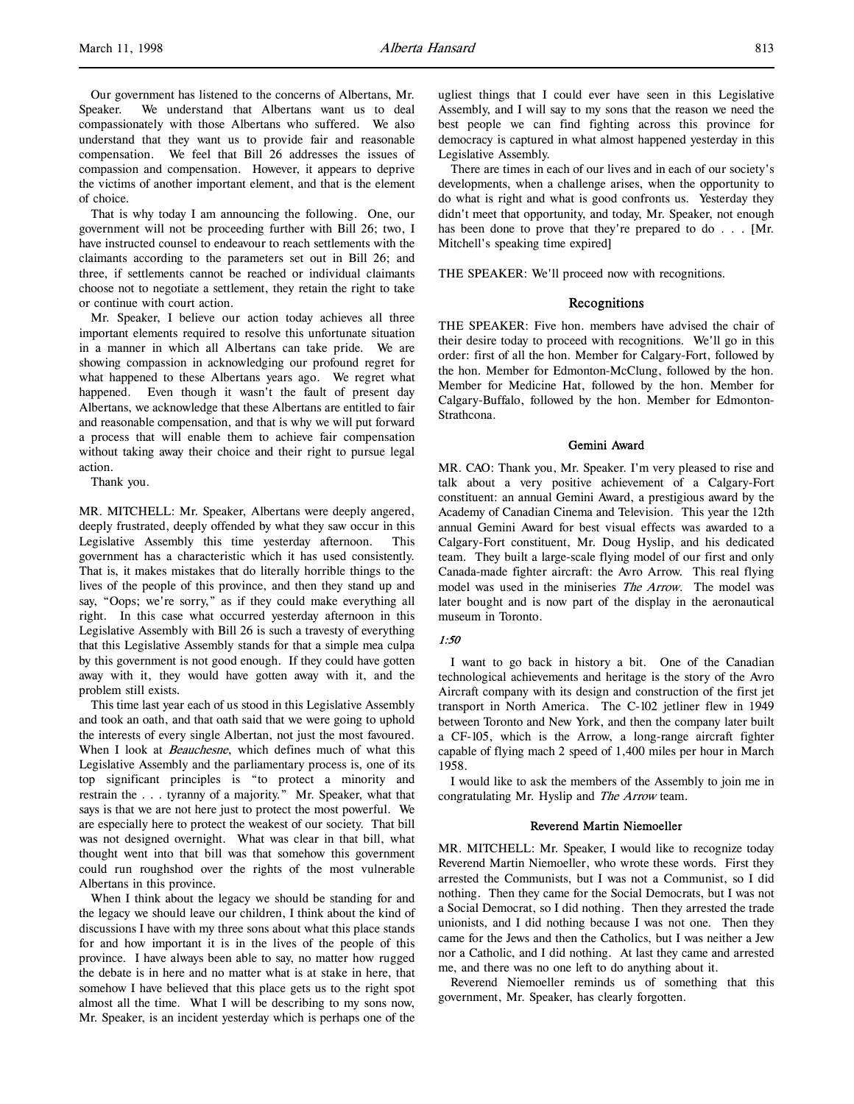Our government has listened to the concerns of Albertans, Mr. Speaker. We understand that Albertans want us to deal compassionately with those Albertans who suffered. We also understand that they want us to provide fair and reasonable compensation. We feel that Bill 26 addresses the issues of compassion and compensation. However, it appears to deprive the victims of another important element, and that is the element of choice.

That is why today I am announcing the following. One, our government will not be proceeding further with Bill 26; two, I have instructed counsel to endeavour to reach settlements with the claimants according to the parameters set out in Bill 26; and three, if settlements cannot be reached or individual claimants choose not to negotiate a settlement, they retain the right to take or continue with court action.

Mr. Speaker, I believe our action today achieves all three important elements required to resolve this unfortunate situation in a manner in which all Albertans can take pride. We are showing compassion in acknowledging our profound regret for what happened to these Albertans years ago. We regret what happened. Even though it wasn't the fault of present day Albertans, we acknowledge that these Albertans are entitled to fair and reasonable compensation, and that is why we will put forward a process that will enable them to achieve fair compensation without taking away their choice and their right to pursue legal action.

Thank you.

MR. MITCHELL: Mr. Speaker, Albertans were deeply angered, deeply frustrated, deeply offended by what they saw occur in this Legislative Assembly this time yesterday afternoon. This government has a characteristic which it has used consistently. That is, it makes mistakes that do literally horrible things to the lives of the people of this province, and then they stand up and say, "Oops; we're sorry," as if they could make everything all right. In this case what occurred yesterday afternoon in this Legislative Assembly with Bill 26 is such a travesty of everything that this Legislative Assembly stands for that a simple mea culpa by this government is not good enough. If they could have gotten away with it, they would have gotten away with it, and the problem still exists.

This time last year each of us stood in this Legislative Assembly and took an oath, and that oath said that we were going to uphold the interests of every single Albertan, not just the most favoured. When I look at Beauchesne, which defines much of what this Legislative Assembly and the parliamentary process is, one of its top significant principles is "to protect a minority and restrain the . . . tyranny of a majority." Mr. Speaker, what that says is that we are not here just to protect the most powerful. We are especially here to protect the weakest of our society. That bill was not designed overnight. What was clear in that bill, what thought went into that bill was that somehow this government could run roughshod over the rights of the most vulnerable Albertans in this province.

When I think about the legacy we should be standing for and the legacy we should leave our children, I think about the kind of discussions I have with my three sons about what this place stands for and how important it is in the lives of the people of this province. I have always been able to say, no matter how rugged the debate is in here and no matter what is at stake in here, that somehow I have believed that this place gets us to the right spot almost all the time. What I will be describing to my sons now, Mr. Speaker, is an incident yesterday which is perhaps one of the

ugliest things that I could ever have seen in this Legislative Assembly, and I will say to my sons that the reason we need the best people we can find fighting across this province for democracy is captured in what almost happened yesterday in this Legislative Assembly.

There are times in each of our lives and in each of our society's developments, when a challenge arises, when the opportunity to do what is right and what is good confronts us. Yesterday they didn't meet that opportunity, and today, Mr. Speaker, not enough has been done to prove that they're prepared to do . . . [Mr. Mitchell's speaking time expired]

THE SPEAKER: We'll proceed now with recognitions.

#### Recognitions

THE SPEAKER: Five hon. members have advised the chair of their desire today to proceed with recognitions. We'll go in this order: first of all the hon. Member for Calgary-Fort, followed by the hon. Member for Edmonton-McClung, followed by the hon. Member for Medicine Hat, followed by the hon. Member for Calgary-Buffalo, followed by the hon. Member for Edmonton-Strathcona.

#### Gemini Award

MR. CAO: Thank you, Mr. Speaker. I'm very pleased to rise and talk about a very positive achievement of a Calgary-Fort constituent: an annual Gemini Award, a prestigious award by the Academy of Canadian Cinema and Television. This year the 12th annual Gemini Award for best visual effects was awarded to a Calgary-Fort constituent, Mr. Doug Hyslip, and his dedicated team. They built a large-scale flying model of our first and only Canada-made fighter aircraft: the Avro Arrow. This real flying model was used in the miniseries The Arrow. The model was later bought and is now part of the display in the aeronautical museum in Toronto.

#### 1:50

I want to go back in history a bit. One of the Canadian technological achievements and heritage is the story of the Avro Aircraft company with its design and construction of the first jet transport in North America. The C-102 jetliner flew in 1949 between Toronto and New York, and then the company later built a CF-105, which is the Arrow, a long-range aircraft fighter capable of flying mach 2 speed of 1,400 miles per hour in March 1958.

I would like to ask the members of the Assembly to join me in congratulating Mr. Hyslip and The Arrow team.

#### Reverend Martin Niemoeller

MR. MITCHELL: Mr. Speaker, I would like to recognize today Reverend Martin Niemoeller, who wrote these words. First they arrested the Communists, but I was not a Communist, so I did nothing. Then they came for the Social Democrats, but I was not a Social Democrat, so I did nothing. Then they arrested the trade unionists, and I did nothing because I was not one. Then they came for the Jews and then the Catholics, but I was neither a Jew nor a Catholic, and I did nothing. At last they came and arrested me, and there was no one left to do anything about it.

Reverend Niemoeller reminds us of something that this government, Mr. Speaker, has clearly forgotten.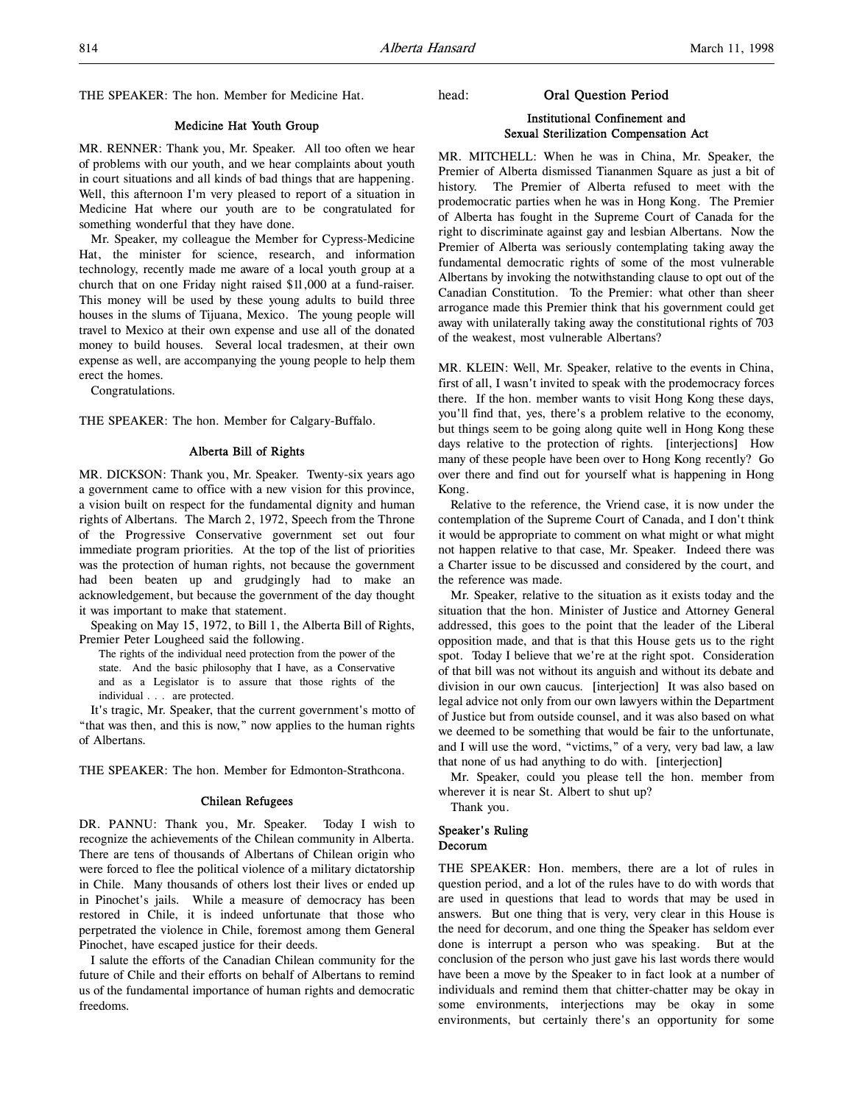THE SPEAKER: The hon. Member for Medicine Hat.

#### Medicine Hat Youth Group

MR. RENNER: Thank you, Mr. Speaker. All too often we hear of problems with our youth, and we hear complaints about youth in court situations and all kinds of bad things that are happening. Well, this afternoon I'm very pleased to report of a situation in Medicine Hat where our youth are to be congratulated for something wonderful that they have done.

Mr. Speaker, my colleague the Member for Cypress-Medicine Hat, the minister for science, research, and information technology, recently made me aware of a local youth group at a church that on one Friday night raised \$11,000 at a fund-raiser. This money will be used by these young adults to build three houses in the slums of Tijuana, Mexico. The young people will travel to Mexico at their own expense and use all of the donated money to build houses. Several local tradesmen, at their own expense as well, are accompanying the young people to help them erect the homes.

Congratulations.

THE SPEAKER: The hon. Member for Calgary-Buffalo.

#### Alberta Bill of Rights

MR. DICKSON: Thank you, Mr. Speaker. Twenty-six years ago a government came to office with a new vision for this province, a vision built on respect for the fundamental dignity and human rights of Albertans. The March 2, 1972, Speech from the Throne of the Progressive Conservative government set out four immediate program priorities. At the top of the list of priorities was the protection of human rights, not because the government had been beaten up and grudgingly had to make an acknowledgement, but because the government of the day thought it was important to make that statement.

Speaking on May 15, 1972, to Bill 1, the Alberta Bill of Rights, Premier Peter Lougheed said the following.

The rights of the individual need protection from the power of the state. And the basic philosophy that I have, as a Conservative and as a Legislator is to assure that those rights of the individual . . . are protected.

It's tragic, Mr. Speaker, that the current government's motto of "that was then, and this is now," now applies to the human rights of Albertans.

THE SPEAKER: The hon. Member for Edmonton-Strathcona.

#### Chilean Refugees

DR. PANNU: Thank you, Mr. Speaker. Today I wish to recognize the achievements of the Chilean community in Alberta. There are tens of thousands of Albertans of Chilean origin who were forced to flee the political violence of a military dictatorship in Chile. Many thousands of others lost their lives or ended up in Pinochet's jails. While a measure of democracy has been restored in Chile, it is indeed unfortunate that those who perpetrated the violence in Chile, foremost among them General Pinochet, have escaped justice for their deeds.

I salute the efforts of the Canadian Chilean community for the future of Chile and their efforts on behalf of Albertans to remind us of the fundamental importance of human rights and democratic freedoms.

#### head: Oral Question Period

# Institutional Confinement and Sexual Sterilization Compensation Act

MR. MITCHELL: When he was in China, Mr. Speaker, the Premier of Alberta dismissed Tiananmen Square as just a bit of history. The Premier of Alberta refused to meet with the prodemocratic parties when he was in Hong Kong. The Premier of Alberta has fought in the Supreme Court of Canada for the right to discriminate against gay and lesbian Albertans. Now the Premier of Alberta was seriously contemplating taking away the fundamental democratic rights of some of the most vulnerable Albertans by invoking the notwithstanding clause to opt out of the Canadian Constitution. To the Premier: what other than sheer arrogance made this Premier think that his government could get away with unilaterally taking away the constitutional rights of 703 of the weakest, most vulnerable Albertans?

MR. KLEIN: Well, Mr. Speaker, relative to the events in China, first of all, I wasn't invited to speak with the prodemocracy forces there. If the hon. member wants to visit Hong Kong these days, you'll find that, yes, there's a problem relative to the economy, but things seem to be going along quite well in Hong Kong these days relative to the protection of rights. [interjections] How many of these people have been over to Hong Kong recently? Go over there and find out for yourself what is happening in Hong Kong.

Relative to the reference, the Vriend case, it is now under the contemplation of the Supreme Court of Canada, and I don't think it would be appropriate to comment on what might or what might not happen relative to that case, Mr. Speaker. Indeed there was a Charter issue to be discussed and considered by the court, and the reference was made.

Mr. Speaker, relative to the situation as it exists today and the situation that the hon. Minister of Justice and Attorney General addressed, this goes to the point that the leader of the Liberal opposition made, and that is that this House gets us to the right spot. Today I believe that we're at the right spot. Consideration of that bill was not without its anguish and without its debate and division in our own caucus. [interjection] It was also based on legal advice not only from our own lawyers within the Department of Justice but from outside counsel, and it was also based on what we deemed to be something that would be fair to the unfortunate, and I will use the word, "victims," of a very, very bad law, a law that none of us had anything to do with. [interjection]

Mr. Speaker, could you please tell the hon. member from wherever it is near St. Albert to shut up?

Thank you.

#### Speaker's Ruling Decorum

THE SPEAKER: Hon. members, there are a lot of rules in question period, and a lot of the rules have to do with words that are used in questions that lead to words that may be used in answers. But one thing that is very, very clear in this House is the need for decorum, and one thing the Speaker has seldom ever done is interrupt a person who was speaking. But at the conclusion of the person who just gave his last words there would have been a move by the Speaker to in fact look at a number of individuals and remind them that chitter-chatter may be okay in some environments, interjections may be okay in some environments, but certainly there's an opportunity for some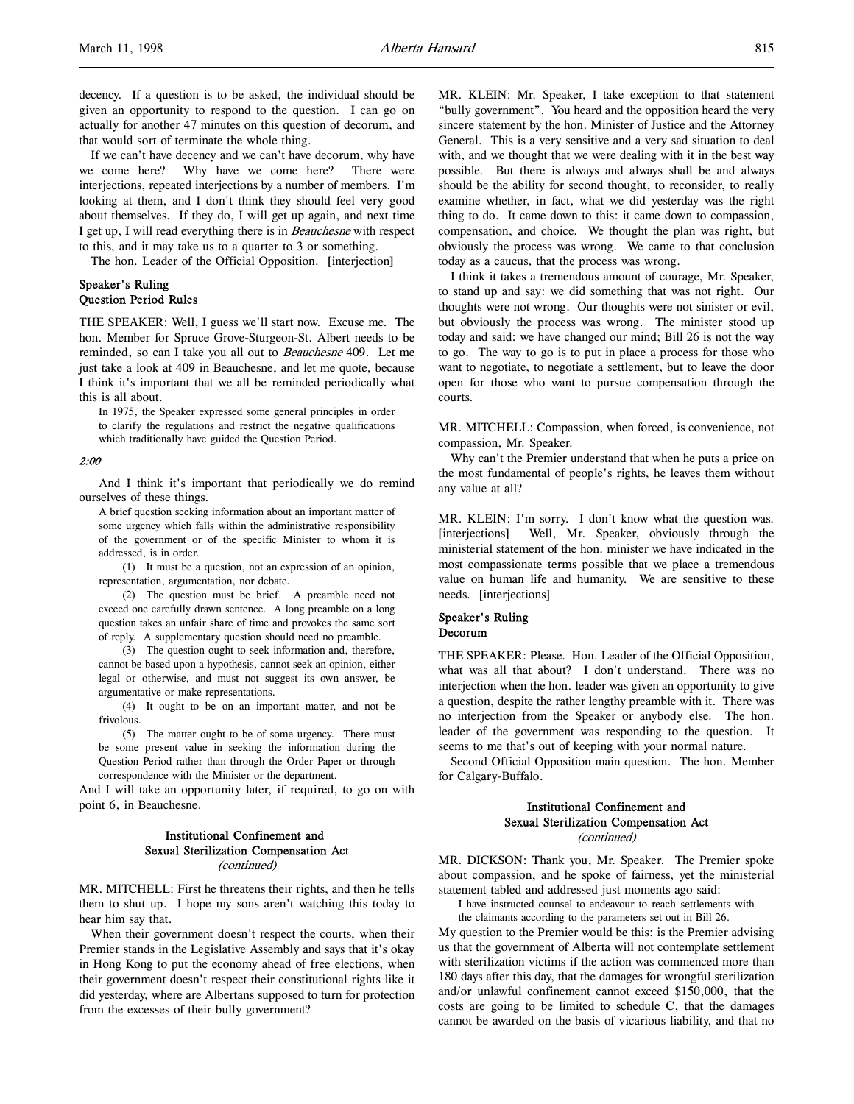decency. If a question is to be asked, the individual should be given an opportunity to respond to the question. I can go on actually for another 47 minutes on this question of decorum, and that would sort of terminate the whole thing.

If we can't have decency and we can't have decorum, why have we come here? Why have we come here? There were interjections, repeated interjections by a number of members. I'm looking at them, and I don't think they should feel very good about themselves. If they do, I will get up again, and next time I get up, I will read everything there is in Beauchesne with respect to this, and it may take us to a quarter to 3 or something.

The hon. Leader of the Official Opposition. [interjection]

#### Speaker's Ruling Question Period Rules

THE SPEAKER: Well, I guess we'll start now. Excuse me. The hon. Member for Spruce Grove-Sturgeon-St. Albert needs to be reminded, so can I take you all out to Beauchesne 409. Let me just take a look at 409 in Beauchesne, and let me quote, because I think it's important that we all be reminded periodically what this is all about.

In 1975, the Speaker expressed some general principles in order to clarify the regulations and restrict the negative qualifications which traditionally have guided the Question Period.

#### 2:00

And I think it's important that periodically we do remind ourselves of these things.

A brief question seeking information about an important matter of some urgency which falls within the administrative responsibility of the government or of the specific Minister to whom it is addressed, is in order.

(1) It must be a question, not an expression of an opinion, representation, argumentation, nor debate.

(2) The question must be brief. A preamble need not exceed one carefully drawn sentence. A long preamble on a long question takes an unfair share of time and provokes the same sort of reply. A supplementary question should need no preamble.

(3) The question ought to seek information and, therefore, cannot be based upon a hypothesis, cannot seek an opinion, either legal or otherwise, and must not suggest its own answer, be argumentative or make representations.

(4) It ought to be on an important matter, and not be frivolous.

(5) The matter ought to be of some urgency. There must be some present value in seeking the information during the Question Period rather than through the Order Paper or through correspondence with the Minister or the department.

And I will take an opportunity later, if required, to go on with point 6, in Beauchesne.

# Institutional Confinement and Sexual Sterilization Compensation Act (continued)

MR. MITCHELL: First he threatens their rights, and then he tells them to shut up. I hope my sons aren't watching this today to hear him say that.

When their government doesn't respect the courts, when their Premier stands in the Legislative Assembly and says that it's okay in Hong Kong to put the economy ahead of free elections, when their government doesn't respect their constitutional rights like it did yesterday, where are Albertans supposed to turn for protection from the excesses of their bully government?

MR. KLEIN: Mr. Speaker, I take exception to that statement "bully government". You heard and the opposition heard the very sincere statement by the hon. Minister of Justice and the Attorney General. This is a very sensitive and a very sad situation to deal with, and we thought that we were dealing with it in the best way possible. But there is always and always shall be and always should be the ability for second thought, to reconsider, to really examine whether, in fact, what we did yesterday was the right thing to do. It came down to this: it came down to compassion, compensation, and choice. We thought the plan was right, but obviously the process was wrong. We came to that conclusion today as a caucus, that the process was wrong.

I think it takes a tremendous amount of courage, Mr. Speaker, to stand up and say: we did something that was not right. Our thoughts were not wrong. Our thoughts were not sinister or evil, but obviously the process was wrong. The minister stood up today and said: we have changed our mind; Bill 26 is not the way to go. The way to go is to put in place a process for those who want to negotiate, to negotiate a settlement, but to leave the door open for those who want to pursue compensation through the courts.

MR. MITCHELL: Compassion, when forced, is convenience, not compassion, Mr. Speaker.

Why can't the Premier understand that when he puts a price on the most fundamental of people's rights, he leaves them without any value at all?

MR. KLEIN: I'm sorry. I don't know what the question was. [interjections] Well, Mr. Speaker, obviously through the ministerial statement of the hon. minister we have indicated in the most compassionate terms possible that we place a tremendous value on human life and humanity. We are sensitive to these needs. [interjections]

#### Speaker's Ruling Decorum

THE SPEAKER: Please. Hon. Leader of the Official Opposition, what was all that about? I don't understand. There was no interjection when the hon. leader was given an opportunity to give a question, despite the rather lengthy preamble with it. There was no interjection from the Speaker or anybody else. The hon. leader of the government was responding to the question. It seems to me that's out of keeping with your normal nature.

Second Official Opposition main question. The hon. Member for Calgary-Buffalo.

### Institutional Confinement and Sexual Sterilization Compensation Act (continued)

MR. DICKSON: Thank you, Mr. Speaker. The Premier spoke about compassion, and he spoke of fairness, yet the ministerial statement tabled and addressed just moments ago said:

I have instructed counsel to endeavour to reach settlements with the claimants according to the parameters set out in Bill 26.

My question to the Premier would be this: is the Premier advising us that the government of Alberta will not contemplate settlement with sterilization victims if the action was commenced more than 180 days after this day, that the damages for wrongful sterilization and/or unlawful confinement cannot exceed \$150,000, that the costs are going to be limited to schedule C, that the damages cannot be awarded on the basis of vicarious liability, and that no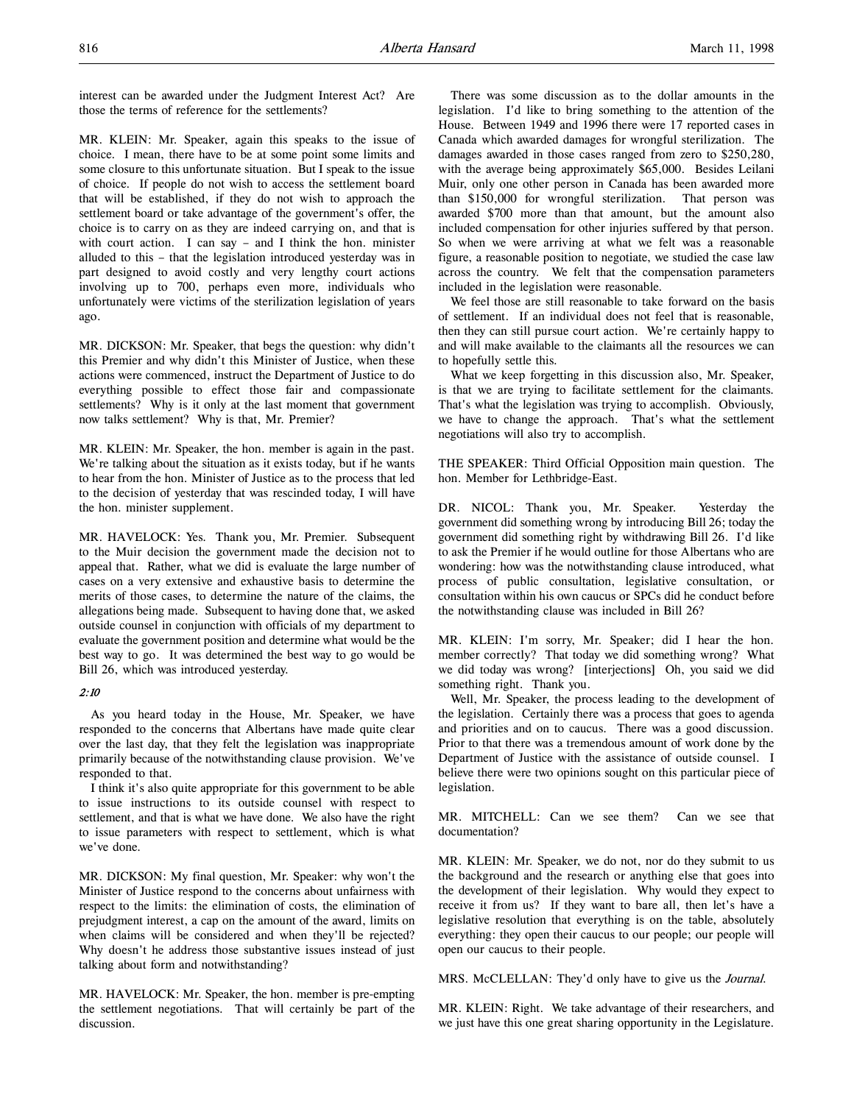interest can be awarded under the Judgment Interest Act? Are those the terms of reference for the settlements?

MR. KLEIN: Mr. Speaker, again this speaks to the issue of choice. I mean, there have to be at some point some limits and some closure to this unfortunate situation. But I speak to the issue of choice. If people do not wish to access the settlement board that will be established, if they do not wish to approach the settlement board or take advantage of the government's offer, the choice is to carry on as they are indeed carrying on, and that is with court action. I can say – and I think the hon. minister alluded to this – that the legislation introduced yesterday was in part designed to avoid costly and very lengthy court actions involving up to 700, perhaps even more, individuals who unfortunately were victims of the sterilization legislation of years ago.

MR. DICKSON: Mr. Speaker, that begs the question: why didn't this Premier and why didn't this Minister of Justice, when these actions were commenced, instruct the Department of Justice to do everything possible to effect those fair and compassionate settlements? Why is it only at the last moment that government now talks settlement? Why is that, Mr. Premier?

MR. KLEIN: Mr. Speaker, the hon. member is again in the past. We're talking about the situation as it exists today, but if he wants to hear from the hon. Minister of Justice as to the process that led to the decision of yesterday that was rescinded today, I will have the hon. minister supplement.

MR. HAVELOCK: Yes. Thank you, Mr. Premier. Subsequent to the Muir decision the government made the decision not to appeal that. Rather, what we did is evaluate the large number of cases on a very extensive and exhaustive basis to determine the merits of those cases, to determine the nature of the claims, the allegations being made. Subsequent to having done that, we asked outside counsel in conjunction with officials of my department to evaluate the government position and determine what would be the best way to go. It was determined the best way to go would be Bill 26, which was introduced yesterday.

#### 2:10

As you heard today in the House, Mr. Speaker, we have responded to the concerns that Albertans have made quite clear over the last day, that they felt the legislation was inappropriate primarily because of the notwithstanding clause provision. We've responded to that.

I think it's also quite appropriate for this government to be able to issue instructions to its outside counsel with respect to settlement, and that is what we have done. We also have the right to issue parameters with respect to settlement, which is what we've done.

MR. DICKSON: My final question, Mr. Speaker: why won't the Minister of Justice respond to the concerns about unfairness with respect to the limits: the elimination of costs, the elimination of prejudgment interest, a cap on the amount of the award, limits on when claims will be considered and when they'll be rejected? Why doesn't he address those substantive issues instead of just talking about form and notwithstanding?

MR. HAVELOCK: Mr. Speaker, the hon. member is pre-empting the settlement negotiations. That will certainly be part of the discussion.

There was some discussion as to the dollar amounts in the legislation. I'd like to bring something to the attention of the House. Between 1949 and 1996 there were 17 reported cases in Canada which awarded damages for wrongful sterilization. The damages awarded in those cases ranged from zero to \$250,280, with the average being approximately \$65,000. Besides Leilani Muir, only one other person in Canada has been awarded more than \$150,000 for wrongful sterilization. That person was awarded \$700 more than that amount, but the amount also included compensation for other injuries suffered by that person. So when we were arriving at what we felt was a reasonable figure, a reasonable position to negotiate, we studied the case law across the country. We felt that the compensation parameters included in the legislation were reasonable.

We feel those are still reasonable to take forward on the basis of settlement. If an individual does not feel that is reasonable, then they can still pursue court action. We're certainly happy to and will make available to the claimants all the resources we can to hopefully settle this.

What we keep forgetting in this discussion also, Mr. Speaker, is that we are trying to facilitate settlement for the claimants. That's what the legislation was trying to accomplish. Obviously, we have to change the approach. That's what the settlement negotiations will also try to accomplish.

THE SPEAKER: Third Official Opposition main question. The hon. Member for Lethbridge-East.

DR. NICOL: Thank you, Mr. Speaker. Yesterday the government did something wrong by introducing Bill 26; today the government did something right by withdrawing Bill 26. I'd like to ask the Premier if he would outline for those Albertans who are wondering: how was the notwithstanding clause introduced, what process of public consultation, legislative consultation, or consultation within his own caucus or SPCs did he conduct before the notwithstanding clause was included in Bill 26?

MR. KLEIN: I'm sorry, Mr. Speaker; did I hear the hon. member correctly? That today we did something wrong? What we did today was wrong? [interjections] Oh, you said we did something right. Thank you.

Well, Mr. Speaker, the process leading to the development of the legislation. Certainly there was a process that goes to agenda and priorities and on to caucus. There was a good discussion. Prior to that there was a tremendous amount of work done by the Department of Justice with the assistance of outside counsel. I believe there were two opinions sought on this particular piece of legislation.

MR. MITCHELL: Can we see them? Can we see that documentation?

MR. KLEIN: Mr. Speaker, we do not, nor do they submit to us the background and the research or anything else that goes into the development of their legislation. Why would they expect to receive it from us? If they want to bare all, then let's have a legislative resolution that everything is on the table, absolutely everything: they open their caucus to our people; our people will open our caucus to their people.

MRS. McCLELLAN: They'd only have to give us the *Journal*.

MR. KLEIN: Right. We take advantage of their researchers, and we just have this one great sharing opportunity in the Legislature.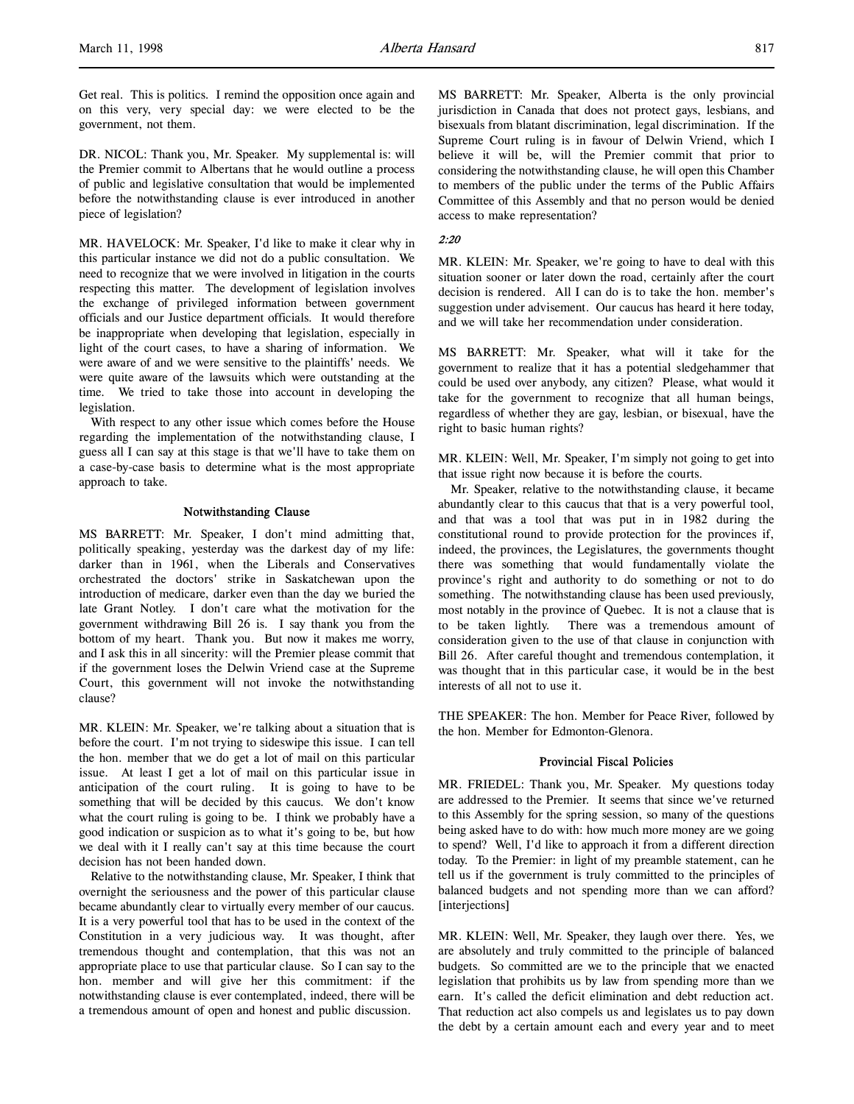DR. NICOL: Thank you, Mr. Speaker. My supplemental is: will the Premier commit to Albertans that he would outline a process of public and legislative consultation that would be implemented before the notwithstanding clause is ever introduced in another piece of legislation?

MR. HAVELOCK: Mr. Speaker, I'd like to make it clear why in this particular instance we did not do a public consultation. We need to recognize that we were involved in litigation in the courts respecting this matter. The development of legislation involves the exchange of privileged information between government officials and our Justice department officials. It would therefore be inappropriate when developing that legislation, especially in light of the court cases, to have a sharing of information. We were aware of and we were sensitive to the plaintiffs' needs. We were quite aware of the lawsuits which were outstanding at the time. We tried to take those into account in developing the legislation.

With respect to any other issue which comes before the House regarding the implementation of the notwithstanding clause, I guess all I can say at this stage is that we'll have to take them on a case-by-case basis to determine what is the most appropriate approach to take.

#### Notwithstanding Clause

MS BARRETT: Mr. Speaker, I don't mind admitting that, politically speaking, yesterday was the darkest day of my life: darker than in 1961, when the Liberals and Conservatives orchestrated the doctors' strike in Saskatchewan upon the introduction of medicare, darker even than the day we buried the late Grant Notley. I don't care what the motivation for the government withdrawing Bill 26 is. I say thank you from the bottom of my heart. Thank you. But now it makes me worry, and I ask this in all sincerity: will the Premier please commit that if the government loses the Delwin Vriend case at the Supreme Court, this government will not invoke the notwithstanding clause?

MR. KLEIN: Mr. Speaker, we're talking about a situation that is before the court. I'm not trying to sideswipe this issue. I can tell the hon. member that we do get a lot of mail on this particular issue. At least I get a lot of mail on this particular issue in anticipation of the court ruling. It is going to have to be something that will be decided by this caucus. We don't know what the court ruling is going to be. I think we probably have a good indication or suspicion as to what it's going to be, but how we deal with it I really can't say at this time because the court decision has not been handed down.

Relative to the notwithstanding clause, Mr. Speaker, I think that overnight the seriousness and the power of this particular clause became abundantly clear to virtually every member of our caucus. It is a very powerful tool that has to be used in the context of the Constitution in a very judicious way. It was thought, after tremendous thought and contemplation, that this was not an appropriate place to use that particular clause. So I can say to the hon. member and will give her this commitment: if the notwithstanding clause is ever contemplated, indeed, there will be a tremendous amount of open and honest and public discussion.

MS BARRETT: Mr. Speaker, Alberta is the only provincial jurisdiction in Canada that does not protect gays, lesbians, and bisexuals from blatant discrimination, legal discrimination. If the Supreme Court ruling is in favour of Delwin Vriend, which I believe it will be, will the Premier commit that prior to considering the notwithstanding clause, he will open this Chamber to members of the public under the terms of the Public Affairs Committee of this Assembly and that no person would be denied access to make representation?

#### 2:20

MR. KLEIN: Mr. Speaker, we're going to have to deal with this situation sooner or later down the road, certainly after the court decision is rendered. All I can do is to take the hon. member's suggestion under advisement. Our caucus has heard it here today, and we will take her recommendation under consideration.

MS BARRETT: Mr. Speaker, what will it take for the government to realize that it has a potential sledgehammer that could be used over anybody, any citizen? Please, what would it take for the government to recognize that all human beings, regardless of whether they are gay, lesbian, or bisexual, have the right to basic human rights?

MR. KLEIN: Well, Mr. Speaker, I'm simply not going to get into that issue right now because it is before the courts.

Mr. Speaker, relative to the notwithstanding clause, it became abundantly clear to this caucus that that is a very powerful tool, and that was a tool that was put in in 1982 during the constitutional round to provide protection for the provinces if, indeed, the provinces, the Legislatures, the governments thought there was something that would fundamentally violate the province's right and authority to do something or not to do something. The notwithstanding clause has been used previously, most notably in the province of Quebec. It is not a clause that is to be taken lightly. There was a tremendous amount of consideration given to the use of that clause in conjunction with Bill 26. After careful thought and tremendous contemplation, it was thought that in this particular case, it would be in the best interests of all not to use it.

THE SPEAKER: The hon. Member for Peace River, followed by the hon. Member for Edmonton-Glenora.

#### Provincial Fiscal Policies

MR. FRIEDEL: Thank you, Mr. Speaker. My questions today are addressed to the Premier. It seems that since we've returned to this Assembly for the spring session, so many of the questions being asked have to do with: how much more money are we going to spend? Well, I'd like to approach it from a different direction today. To the Premier: in light of my preamble statement, can he tell us if the government is truly committed to the principles of balanced budgets and not spending more than we can afford? [interjections]

MR. KLEIN: Well, Mr. Speaker, they laugh over there. Yes, we are absolutely and truly committed to the principle of balanced budgets. So committed are we to the principle that we enacted legislation that prohibits us by law from spending more than we earn. It's called the deficit elimination and debt reduction act. That reduction act also compels us and legislates us to pay down the debt by a certain amount each and every year and to meet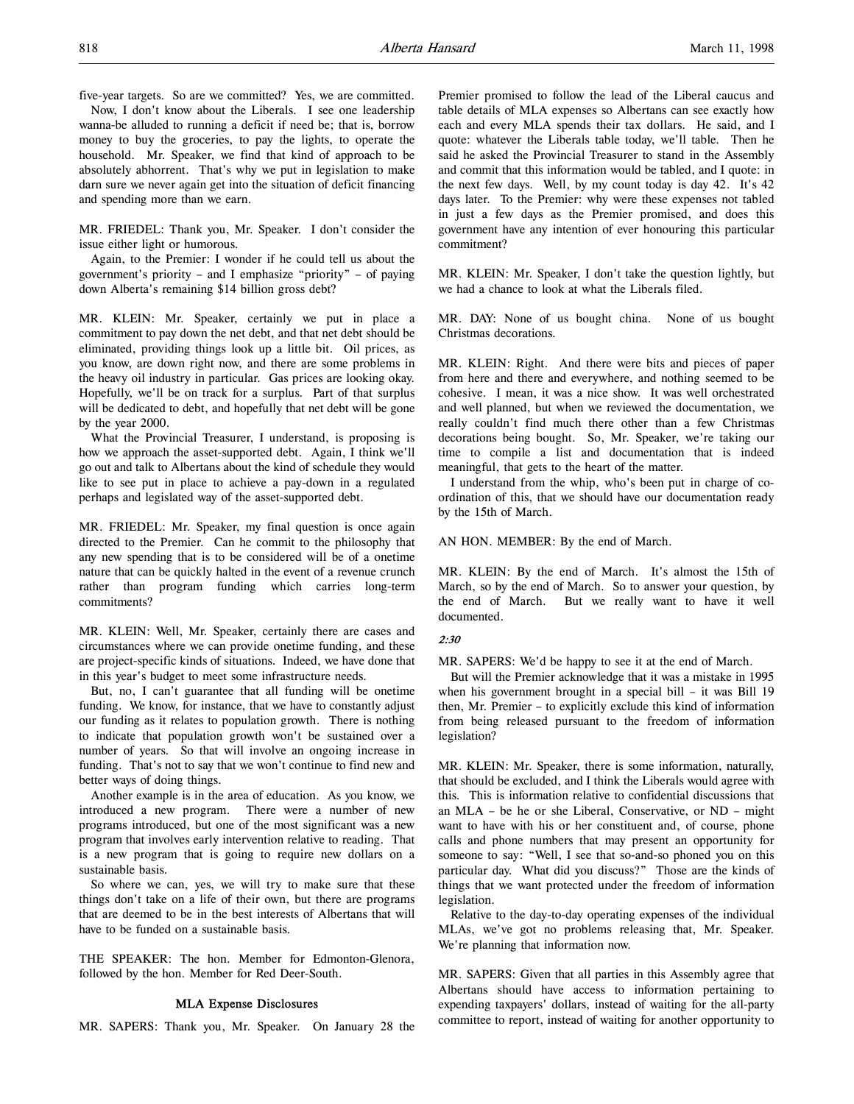five-year targets. So are we committed? Yes, we are committed. Now, I don't know about the Liberals. I see one leadership

wanna-be alluded to running a deficit if need be; that is, borrow money to buy the groceries, to pay the lights, to operate the household. Mr. Speaker, we find that kind of approach to be absolutely abhorrent. That's why we put in legislation to make darn sure we never again get into the situation of deficit financing and spending more than we earn.

MR. FRIEDEL: Thank you, Mr. Speaker. I don't consider the issue either light or humorous.

Again, to the Premier: I wonder if he could tell us about the government's priority – and I emphasize "priority" – of paying down Alberta's remaining \$14 billion gross debt?

MR. KLEIN: Mr. Speaker, certainly we put in place a commitment to pay down the net debt, and that net debt should be eliminated, providing things look up a little bit. Oil prices, as you know, are down right now, and there are some problems in the heavy oil industry in particular. Gas prices are looking okay. Hopefully, we'll be on track for a surplus. Part of that surplus will be dedicated to debt, and hopefully that net debt will be gone by the year 2000.

What the Provincial Treasurer, I understand, is proposing is how we approach the asset-supported debt. Again, I think we'll go out and talk to Albertans about the kind of schedule they would like to see put in place to achieve a pay-down in a regulated perhaps and legislated way of the asset-supported debt.

MR. FRIEDEL: Mr. Speaker, my final question is once again directed to the Premier. Can he commit to the philosophy that any new spending that is to be considered will be of a onetime nature that can be quickly halted in the event of a revenue crunch rather than program funding which carries long-term commitments?

MR. KLEIN: Well, Mr. Speaker, certainly there are cases and circumstances where we can provide onetime funding, and these are project-specific kinds of situations. Indeed, we have done that in this year's budget to meet some infrastructure needs.

But, no, I can't guarantee that all funding will be onetime funding. We know, for instance, that we have to constantly adjust our funding as it relates to population growth. There is nothing to indicate that population growth won't be sustained over a number of years. So that will involve an ongoing increase in funding. That's not to say that we won't continue to find new and better ways of doing things.

Another example is in the area of education. As you know, we introduced a new program. There were a number of new programs introduced, but one of the most significant was a new program that involves early intervention relative to reading. That is a new program that is going to require new dollars on a sustainable basis.

So where we can, yes, we will try to make sure that these things don't take on a life of their own, but there are programs that are deemed to be in the best interests of Albertans that will have to be funded on a sustainable basis.

THE SPEAKER: The hon. Member for Edmonton-Glenora, followed by the hon. Member for Red Deer-South.

#### MLA Expense Disclosures

MR. SAPERS: Thank you, Mr. Speaker. On January 28 the

Premier promised to follow the lead of the Liberal caucus and table details of MLA expenses so Albertans can see exactly how each and every MLA spends their tax dollars. He said, and I quote: whatever the Liberals table today, we'll table. Then he said he asked the Provincial Treasurer to stand in the Assembly and commit that this information would be tabled, and I quote: in the next few days. Well, by my count today is day 42. It's 42 days later. To the Premier: why were these expenses not tabled in just a few days as the Premier promised, and does this government have any intention of ever honouring this particular commitment?

MR. KLEIN: Mr. Speaker, I don't take the question lightly, but we had a chance to look at what the Liberals filed.

MR. DAY: None of us bought china. None of us bought Christmas decorations.

MR. KLEIN: Right. And there were bits and pieces of paper from here and there and everywhere, and nothing seemed to be cohesive. I mean, it was a nice show. It was well orchestrated and well planned, but when we reviewed the documentation, we really couldn't find much there other than a few Christmas decorations being bought. So, Mr. Speaker, we're taking our time to compile a list and documentation that is indeed meaningful, that gets to the heart of the matter.

I understand from the whip, who's been put in charge of coordination of this, that we should have our documentation ready by the 15th of March.

#### AN HON. MEMBER: By the end of March.

MR. KLEIN: By the end of March. It's almost the 15th of March, so by the end of March. So to answer your question, by the end of March. But we really want to have it well documented.

#### 2:30

MR. SAPERS: We'd be happy to see it at the end of March.

But will the Premier acknowledge that it was a mistake in 1995 when his government brought in a special bill – it was Bill 19 then, Mr. Premier – to explicitly exclude this kind of information from being released pursuant to the freedom of information legislation?

MR. KLEIN: Mr. Speaker, there is some information, naturally, that should be excluded, and I think the Liberals would agree with this. This is information relative to confidential discussions that an MLA – be he or she Liberal, Conservative, or ND – might want to have with his or her constituent and, of course, phone calls and phone numbers that may present an opportunity for someone to say: "Well, I see that so-and-so phoned you on this particular day. What did you discuss?" Those are the kinds of things that we want protected under the freedom of information legislation.

Relative to the day-to-day operating expenses of the individual MLAs, we've got no problems releasing that, Mr. Speaker. We're planning that information now.

MR. SAPERS: Given that all parties in this Assembly agree that Albertans should have access to information pertaining to expending taxpayers' dollars, instead of waiting for the all-party committee to report, instead of waiting for another opportunity to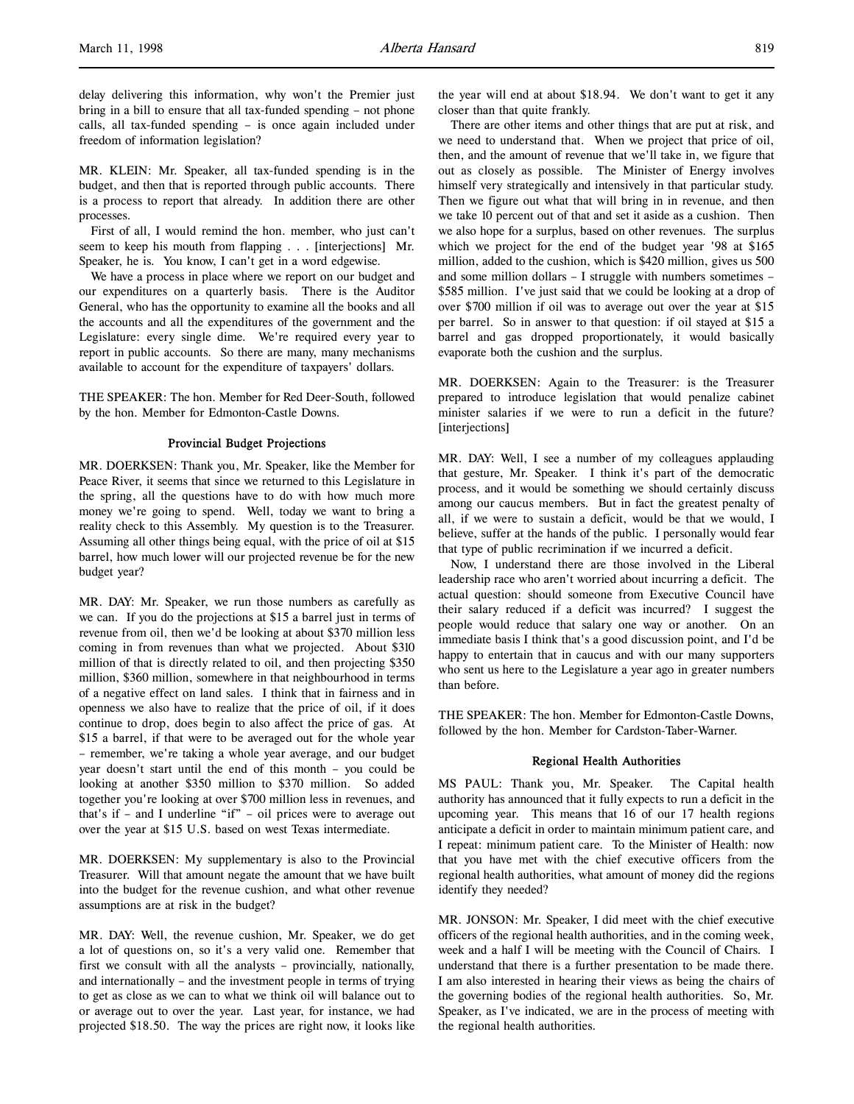delay delivering this information, why won't the Premier just bring in a bill to ensure that all tax-funded spending – not phone calls, all tax-funded spending – is once again included under freedom of information legislation?

MR. KLEIN: Mr. Speaker, all tax-funded spending is in the budget, and then that is reported through public accounts. There is a process to report that already. In addition there are other processes.

First of all, I would remind the hon. member, who just can't seem to keep his mouth from flapping . . . [interjections] Mr. Speaker, he is. You know, I can't get in a word edgewise.

We have a process in place where we report on our budget and our expenditures on a quarterly basis. There is the Auditor General, who has the opportunity to examine all the books and all the accounts and all the expenditures of the government and the Legislature: every single dime. We're required every year to report in public accounts. So there are many, many mechanisms available to account for the expenditure of taxpayers' dollars.

THE SPEAKER: The hon. Member for Red Deer-South, followed by the hon. Member for Edmonton-Castle Downs.

#### Provincial Budget Projections

MR. DOERKSEN: Thank you, Mr. Speaker, like the Member for Peace River, it seems that since we returned to this Legislature in the spring, all the questions have to do with how much more money we're going to spend. Well, today we want to bring a reality check to this Assembly. My question is to the Treasurer. Assuming all other things being equal, with the price of oil at \$15 barrel, how much lower will our projected revenue be for the new budget year?

MR. DAY: Mr. Speaker, we run those numbers as carefully as we can. If you do the projections at \$15 a barrel just in terms of revenue from oil, then we'd be looking at about \$370 million less coming in from revenues than what we projected. About \$310 million of that is directly related to oil, and then projecting \$350 million, \$360 million, somewhere in that neighbourhood in terms of a negative effect on land sales. I think that in fairness and in openness we also have to realize that the price of oil, if it does continue to drop, does begin to also affect the price of gas. At \$15 a barrel, if that were to be averaged out for the whole year – remember, we're taking a whole year average, and our budget year doesn't start until the end of this month – you could be looking at another \$350 million to \$370 million. So added together you're looking at over \$700 million less in revenues, and that's if – and I underline "if" – oil prices were to average out over the year at \$15 U.S. based on west Texas intermediate.

MR. DOERKSEN: My supplementary is also to the Provincial Treasurer. Will that amount negate the amount that we have built into the budget for the revenue cushion, and what other revenue assumptions are at risk in the budget?

MR. DAY: Well, the revenue cushion, Mr. Speaker, we do get a lot of questions on, so it's a very valid one. Remember that first we consult with all the analysts – provincially, nationally, and internationally – and the investment people in terms of trying to get as close as we can to what we think oil will balance out to or average out to over the year. Last year, for instance, we had projected \$18.50. The way the prices are right now, it looks like

the year will end at about \$18.94. We don't want to get it any closer than that quite frankly.

There are other items and other things that are put at risk, and we need to understand that. When we project that price of oil, then, and the amount of revenue that we'll take in, we figure that out as closely as possible. The Minister of Energy involves himself very strategically and intensively in that particular study. Then we figure out what that will bring in in revenue, and then we take 10 percent out of that and set it aside as a cushion. Then we also hope for a surplus, based on other revenues. The surplus which we project for the end of the budget year '98 at \$165 million, added to the cushion, which is \$420 million, gives us 500 and some million dollars – I struggle with numbers sometimes – \$585 million. I've just said that we could be looking at a drop of over \$700 million if oil was to average out over the year at \$15 per barrel. So in answer to that question: if oil stayed at \$15 a barrel and gas dropped proportionately, it would basically evaporate both the cushion and the surplus.

MR. DOERKSEN: Again to the Treasurer: is the Treasurer prepared to introduce legislation that would penalize cabinet minister salaries if we were to run a deficit in the future? [interjections]

MR. DAY: Well, I see a number of my colleagues applauding that gesture, Mr. Speaker. I think it's part of the democratic process, and it would be something we should certainly discuss among our caucus members. But in fact the greatest penalty of all, if we were to sustain a deficit, would be that we would, I believe, suffer at the hands of the public. I personally would fear that type of public recrimination if we incurred a deficit.

Now, I understand there are those involved in the Liberal leadership race who aren't worried about incurring a deficit. The actual question: should someone from Executive Council have their salary reduced if a deficit was incurred? I suggest the people would reduce that salary one way or another. On an immediate basis I think that's a good discussion point, and I'd be happy to entertain that in caucus and with our many supporters who sent us here to the Legislature a year ago in greater numbers than before.

THE SPEAKER: The hon. Member for Edmonton-Castle Downs, followed by the hon. Member for Cardston-Taber-Warner.

#### Regional Health Authorities

MS PAUL: Thank you, Mr. Speaker. The Capital health authority has announced that it fully expects to run a deficit in the upcoming year. This means that 16 of our 17 health regions anticipate a deficit in order to maintain minimum patient care, and I repeat: minimum patient care. To the Minister of Health: now that you have met with the chief executive officers from the regional health authorities, what amount of money did the regions identify they needed?

MR. JONSON: Mr. Speaker, I did meet with the chief executive officers of the regional health authorities, and in the coming week, week and a half I will be meeting with the Council of Chairs. I understand that there is a further presentation to be made there. I am also interested in hearing their views as being the chairs of the governing bodies of the regional health authorities. So, Mr. Speaker, as I've indicated, we are in the process of meeting with the regional health authorities.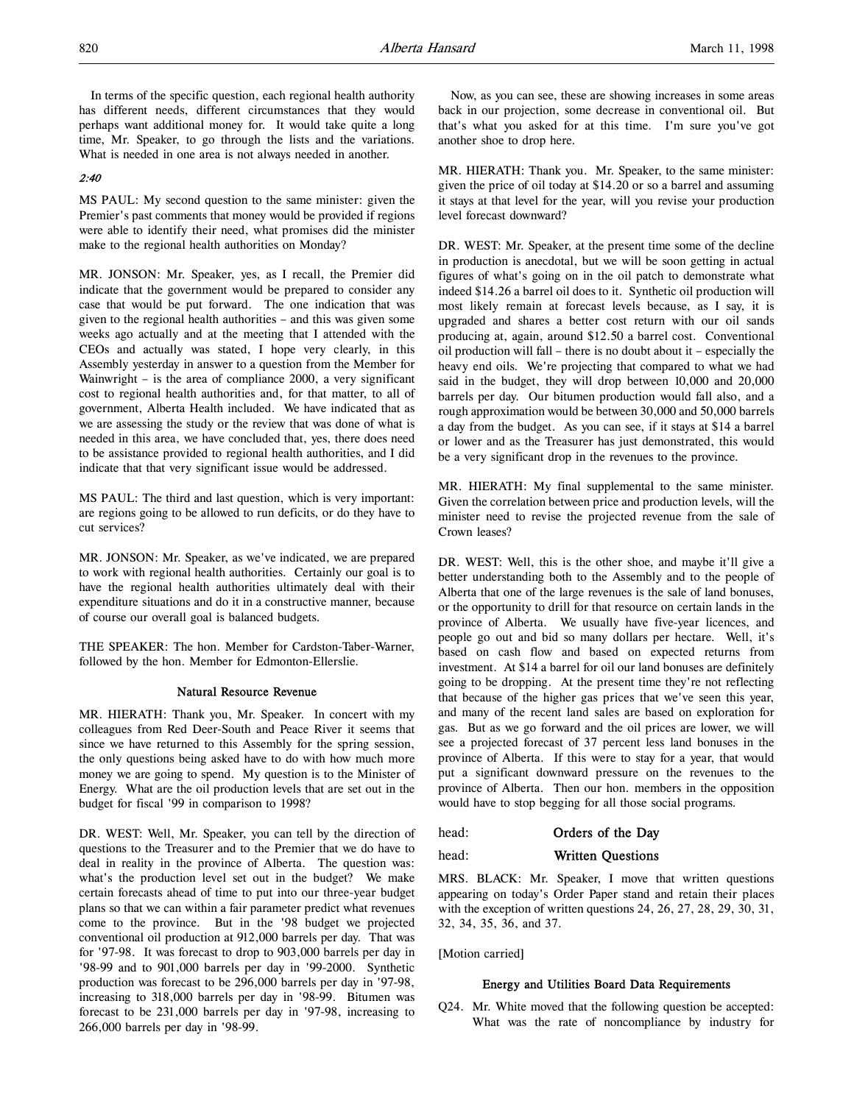In terms of the specific question, each regional health authority has different needs, different circumstances that they would perhaps want additional money for. It would take quite a long time, Mr. Speaker, to go through the lists and the variations. What is needed in one area is not always needed in another.

#### 2:40

MS PAUL: My second question to the same minister: given the Premier's past comments that money would be provided if regions were able to identify their need, what promises did the minister make to the regional health authorities on Monday?

MR. JONSON: Mr. Speaker, yes, as I recall, the Premier did indicate that the government would be prepared to consider any case that would be put forward. The one indication that was given to the regional health authorities – and this was given some weeks ago actually and at the meeting that I attended with the CEOs and actually was stated, I hope very clearly, in this Assembly yesterday in answer to a question from the Member for Wainwright – is the area of compliance 2000, a very significant cost to regional health authorities and, for that matter, to all of government, Alberta Health included. We have indicated that as we are assessing the study or the review that was done of what is needed in this area, we have concluded that, yes, there does need to be assistance provided to regional health authorities, and I did indicate that that very significant issue would be addressed.

MS PAUL: The third and last question, which is very important: are regions going to be allowed to run deficits, or do they have to cut services?

MR. JONSON: Mr. Speaker, as we've indicated, we are prepared to work with regional health authorities. Certainly our goal is to have the regional health authorities ultimately deal with their expenditure situations and do it in a constructive manner, because of course our overall goal is balanced budgets.

THE SPEAKER: The hon. Member for Cardston-Taber-Warner, followed by the hon. Member for Edmonton-Ellerslie.

#### Natural Resource Revenue

MR. HIERATH: Thank you, Mr. Speaker. In concert with my colleagues from Red Deer-South and Peace River it seems that since we have returned to this Assembly for the spring session, the only questions being asked have to do with how much more money we are going to spend. My question is to the Minister of Energy. What are the oil production levels that are set out in the budget for fiscal '99 in comparison to 1998?

DR. WEST: Well, Mr. Speaker, you can tell by the direction of questions to the Treasurer and to the Premier that we do have to deal in reality in the province of Alberta. The question was: what's the production level set out in the budget? We make certain forecasts ahead of time to put into our three-year budget plans so that we can within a fair parameter predict what revenues come to the province. But in the '98 budget we projected conventional oil production at 912,000 barrels per day. That was for '97-98. It was forecast to drop to 903,000 barrels per day in '98-99 and to 901,000 barrels per day in '99-2000. Synthetic production was forecast to be 296,000 barrels per day in '97-98, increasing to 318,000 barrels per day in '98-99. Bitumen was forecast to be 231,000 barrels per day in '97-98, increasing to 266,000 barrels per day in '98-99.

Now, as you can see, these are showing increases in some areas back in our projection, some decrease in conventional oil. But that's what you asked for at this time. I'm sure you've got another shoe to drop here.

MR. HIERATH: Thank you. Mr. Speaker, to the same minister: given the price of oil today at \$14.20 or so a barrel and assuming it stays at that level for the year, will you revise your production level forecast downward?

DR. WEST: Mr. Speaker, at the present time some of the decline in production is anecdotal, but we will be soon getting in actual figures of what's going on in the oil patch to demonstrate what indeed \$14.26 a barrel oil does to it. Synthetic oil production will most likely remain at forecast levels because, as I say, it is upgraded and shares a better cost return with our oil sands producing at, again, around \$12.50 a barrel cost. Conventional oil production will fall – there is no doubt about it – especially the heavy end oils. We're projecting that compared to what we had said in the budget, they will drop between 10,000 and 20,000 barrels per day. Our bitumen production would fall also, and a rough approximation would be between 30,000 and 50,000 barrels a day from the budget. As you can see, if it stays at \$14 a barrel or lower and as the Treasurer has just demonstrated, this would be a very significant drop in the revenues to the province.

MR. HIERATH: My final supplemental to the same minister. Given the correlation between price and production levels, will the minister need to revise the projected revenue from the sale of Crown leases?

DR. WEST: Well, this is the other shoe, and maybe it'll give a better understanding both to the Assembly and to the people of Alberta that one of the large revenues is the sale of land bonuses, or the opportunity to drill for that resource on certain lands in the province of Alberta. We usually have five-year licences, and people go out and bid so many dollars per hectare. Well, it's based on cash flow and based on expected returns from investment. At \$14 a barrel for oil our land bonuses are definitely going to be dropping. At the present time they're not reflecting that because of the higher gas prices that we've seen this year, and many of the recent land sales are based on exploration for gas. But as we go forward and the oil prices are lower, we will see a projected forecast of 37 percent less land bonuses in the province of Alberta. If this were to stay for a year, that would put a significant downward pressure on the revenues to the province of Alberta. Then our hon. members in the opposition would have to stop begging for all those social programs.

head: **Orders of the Day** 

#### head: Written Questions

MRS. BLACK: Mr. Speaker, I move that written questions appearing on today's Order Paper stand and retain their places with the exception of written questions 24, 26, 27, 28, 29, 30, 31, 32, 34, 35, 36, and 37.

[Motion carried]

#### Energy and Utilities Board Data Requirements

Q24. Mr. White moved that the following question be accepted: What was the rate of noncompliance by industry for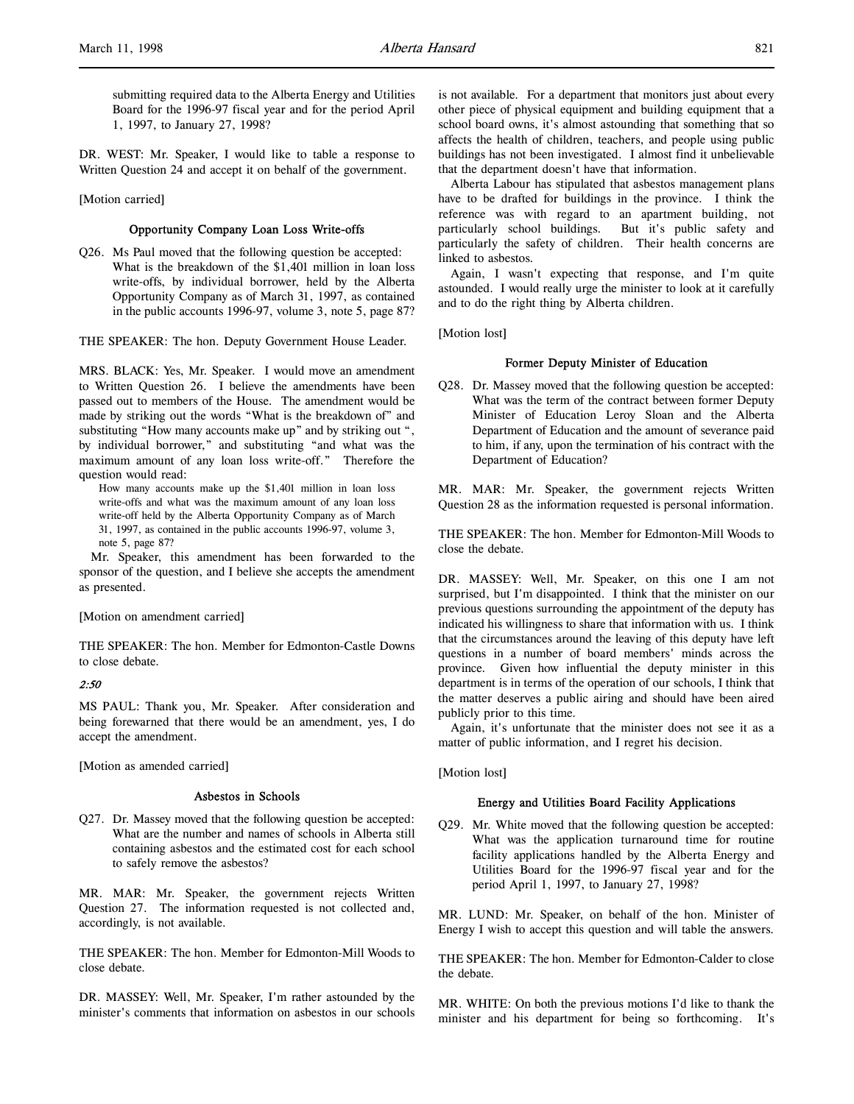submitting required data to the Alberta Energy and Utilities Board for the 1996-97 fiscal year and for the period April 1, 1997, to January 27, 1998?

DR. WEST: Mr. Speaker, I would like to table a response to Written Question 24 and accept it on behalf of the government.

#### [Motion carried]

#### Opportunity Company Loan Loss Write-offs

Q26. Ms Paul moved that the following question be accepted: What is the breakdown of the \$1,401 million in loan loss write-offs, by individual borrower, held by the Alberta Opportunity Company as of March 31, 1997, as contained in the public accounts 1996-97, volume 3, note 5, page 87?

THE SPEAKER: The hon. Deputy Government House Leader.

MRS. BLACK: Yes, Mr. Speaker. I would move an amendment to Written Question 26. I believe the amendments have been passed out to members of the House. The amendment would be made by striking out the words "What is the breakdown of" and substituting "How many accounts make up" and by striking out ", by individual borrower," and substituting "and what was the maximum amount of any loan loss write-off." Therefore the question would read:

How many accounts make up the \$1,401 million in loan loss write-offs and what was the maximum amount of any loan loss write-off held by the Alberta Opportunity Company as of March 31, 1997, as contained in the public accounts 1996-97, volume 3, note 5, page 87?

Mr. Speaker, this amendment has been forwarded to the sponsor of the question, and I believe she accepts the amendment as presented.

#### [Motion on amendment carried]

THE SPEAKER: The hon. Member for Edmonton-Castle Downs to close debate.

#### 2:50

MS PAUL: Thank you, Mr. Speaker. After consideration and being forewarned that there would be an amendment, yes, I do accept the amendment.

[Motion as amended carried]

### Asbestos in Schools

Q27. Dr. Massey moved that the following question be accepted: What are the number and names of schools in Alberta still containing asbestos and the estimated cost for each school to safely remove the asbestos?

MR. MAR: Mr. Speaker, the government rejects Written Question 27. The information requested is not collected and, accordingly, is not available.

THE SPEAKER: The hon. Member for Edmonton-Mill Woods to close debate.

DR. MASSEY: Well, Mr. Speaker, I'm rather astounded by the minister's comments that information on asbestos in our schools is not available. For a department that monitors just about every other piece of physical equipment and building equipment that a school board owns, it's almost astounding that something that so affects the health of children, teachers, and people using public buildings has not been investigated. I almost find it unbelievable that the department doesn't have that information.

Alberta Labour has stipulated that asbestos management plans have to be drafted for buildings in the province. I think the reference was with regard to an apartment building, not particularly school buildings. But it's public safety and particularly the safety of children. Their health concerns are linked to asbestos.

Again, I wasn't expecting that response, and I'm quite astounded. I would really urge the minister to look at it carefully and to do the right thing by Alberta children.

[Motion lost]

#### Former Deputy Minister of Education

Q28. Dr. Massey moved that the following question be accepted: What was the term of the contract between former Deputy Minister of Education Leroy Sloan and the Alberta Department of Education and the amount of severance paid to him, if any, upon the termination of his contract with the Department of Education?

MR. MAR: Mr. Speaker, the government rejects Written Question 28 as the information requested is personal information.

THE SPEAKER: The hon. Member for Edmonton-Mill Woods to close the debate.

DR. MASSEY: Well, Mr. Speaker, on this one I am not surprised, but I'm disappointed. I think that the minister on our previous questions surrounding the appointment of the deputy has indicated his willingness to share that information with us. I think that the circumstances around the leaving of this deputy have left questions in a number of board members' minds across the province. Given how influential the deputy minister in this department is in terms of the operation of our schools, I think that the matter deserves a public airing and should have been aired publicly prior to this time.

Again, it's unfortunate that the minister does not see it as a matter of public information, and I regret his decision.

[Motion lost]

#### Energy and Utilities Board Facility Applications

Q29. Mr. White moved that the following question be accepted: What was the application turnaround time for routine facility applications handled by the Alberta Energy and Utilities Board for the 1996-97 fiscal year and for the period April 1, 1997, to January 27, 1998?

MR. LUND: Mr. Speaker, on behalf of the hon. Minister of Energy I wish to accept this question and will table the answers.

THE SPEAKER: The hon. Member for Edmonton-Calder to close the debate.

MR. WHITE: On both the previous motions I'd like to thank the minister and his department for being so forthcoming. It's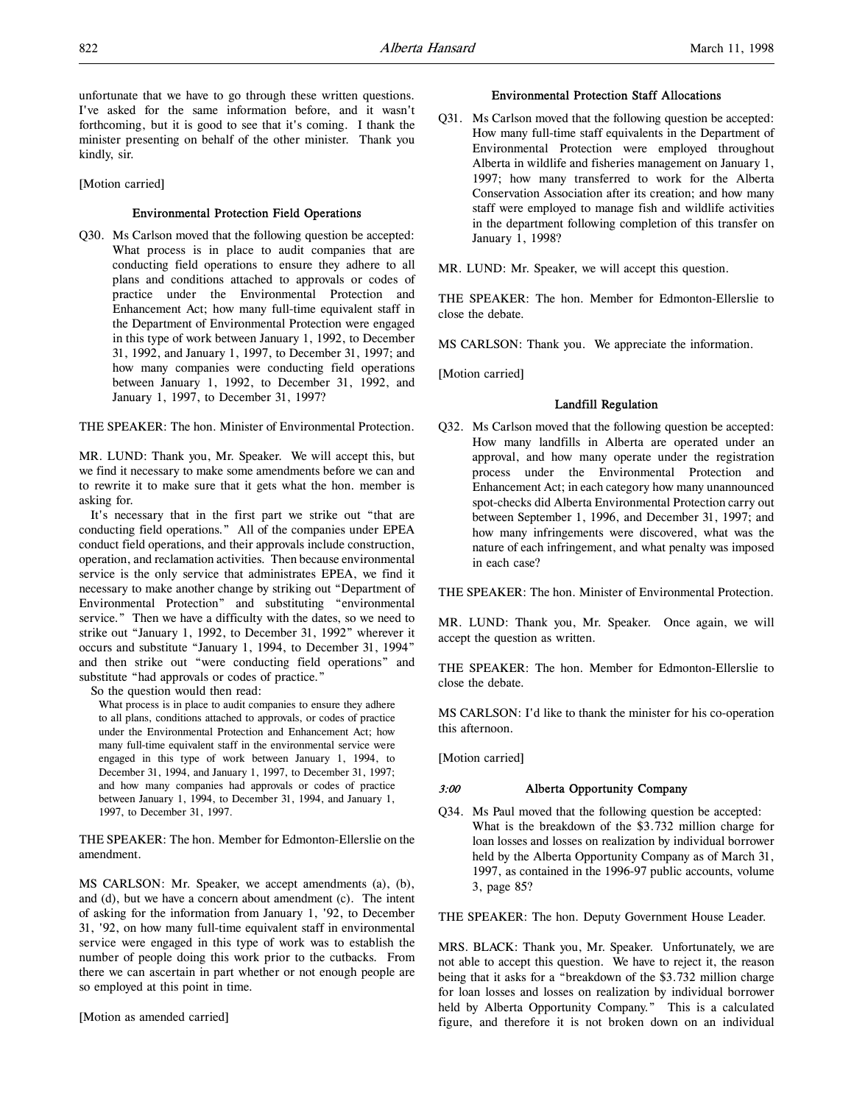unfortunate that we have to go through these written questions. I've asked for the same information before, and it wasn't forthcoming, but it is good to see that it's coming. I thank the minister presenting on behalf of the other minister. Thank you kindly, sir.

[Motion carried]

#### Environmental Protection Field Operations

Q30. Ms Carlson moved that the following question be accepted: What process is in place to audit companies that are conducting field operations to ensure they adhere to all plans and conditions attached to approvals or codes of practice under the Environmental Protection and Enhancement Act; how many full-time equivalent staff in the Department of Environmental Protection were engaged in this type of work between January 1, 1992, to December 31, 1992, and January 1, 1997, to December 31, 1997; and how many companies were conducting field operations between January 1, 1992, to December 31, 1992, and January 1, 1997, to December 31, 1997?

THE SPEAKER: The hon. Minister of Environmental Protection.

MR. LUND: Thank you, Mr. Speaker. We will accept this, but we find it necessary to make some amendments before we can and to rewrite it to make sure that it gets what the hon. member is asking for.

It's necessary that in the first part we strike out "that are conducting field operations." All of the companies under EPEA conduct field operations, and their approvals include construction, operation, and reclamation activities. Then because environmental service is the only service that administrates EPEA, we find it necessary to make another change by striking out "Department of Environmental Protection" and substituting "environmental service." Then we have a difficulty with the dates, so we need to strike out "January 1, 1992, to December 31, 1992" wherever it occurs and substitute "January 1, 1994, to December 31, 1994" and then strike out "were conducting field operations" and substitute "had approvals or codes of practice."

So the question would then read:

What process is in place to audit companies to ensure they adhere to all plans, conditions attached to approvals, or codes of practice under the Environmental Protection and Enhancement Act; how many full-time equivalent staff in the environmental service were engaged in this type of work between January 1, 1994, to December 31, 1994, and January 1, 1997, to December 31, 1997; and how many companies had approvals or codes of practice between January 1, 1994, to December 31, 1994, and January 1, 1997, to December 31, 1997.

THE SPEAKER: The hon. Member for Edmonton-Ellerslie on the amendment.

MS CARLSON: Mr. Speaker, we accept amendments (a), (b), and (d), but we have a concern about amendment (c). The intent of asking for the information from January 1, '92, to December 31, '92, on how many full-time equivalent staff in environmental service were engaged in this type of work was to establish the number of people doing this work prior to the cutbacks. From there we can ascertain in part whether or not enough people are so employed at this point in time.

[Motion as amended carried]

#### Environmental Protection Staff Allocations

Q31. Ms Carlson moved that the following question be accepted: How many full-time staff equivalents in the Department of Environmental Protection were employed throughout Alberta in wildlife and fisheries management on January 1, 1997; how many transferred to work for the Alberta Conservation Association after its creation; and how many staff were employed to manage fish and wildlife activities in the department following completion of this transfer on January 1, 1998?

MR. LUND: Mr. Speaker, we will accept this question.

THE SPEAKER: The hon. Member for Edmonton-Ellerslie to close the debate.

MS CARLSON: Thank you. We appreciate the information.

[Motion carried]

#### Landfill Regulation

Q32. Ms Carlson moved that the following question be accepted: How many landfills in Alberta are operated under an approval, and how many operate under the registration process under the Environmental Protection and Enhancement Act; in each category how many unannounced spot-checks did Alberta Environmental Protection carry out between September 1, 1996, and December 31, 1997; and how many infringements were discovered, what was the nature of each infringement, and what penalty was imposed in each case?

THE SPEAKER: The hon. Minister of Environmental Protection.

MR. LUND: Thank you, Mr. Speaker. Once again, we will accept the question as written.

THE SPEAKER: The hon. Member for Edmonton-Ellerslie to close the debate.

MS CARLSON: I'd like to thank the minister for his co-operation this afternoon.

[Motion carried]

# 3:00 Alberta Opportunity Company

Q34. Ms Paul moved that the following question be accepted: What is the breakdown of the \$3.732 million charge for loan losses and losses on realization by individual borrower held by the Alberta Opportunity Company as of March 31, 1997, as contained in the 1996-97 public accounts, volume 3, page 85?

THE SPEAKER: The hon. Deputy Government House Leader.

MRS. BLACK: Thank you, Mr. Speaker. Unfortunately, we are not able to accept this question. We have to reject it, the reason being that it asks for a "breakdown of the \$3.732 million charge for loan losses and losses on realization by individual borrower held by Alberta Opportunity Company." This is a calculated figure, and therefore it is not broken down on an individual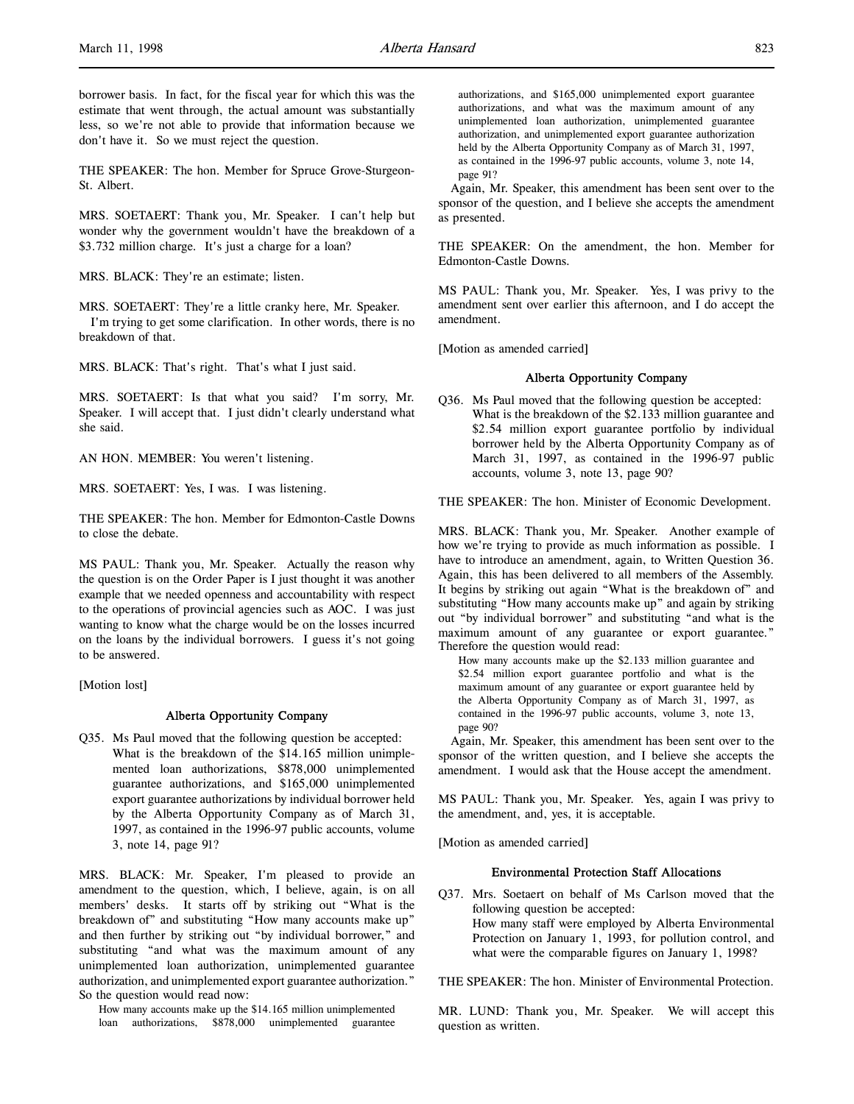borrower basis. In fact, for the fiscal year for which this was the estimate that went through, the actual amount was substantially less, so we're not able to provide that information because we don't have it. So we must reject the question.

THE SPEAKER: The hon. Member for Spruce Grove-Sturgeon-St. Albert.

MRS. SOETAERT: Thank you, Mr. Speaker. I can't help but wonder why the government wouldn't have the breakdown of a \$3.732 million charge. It's just a charge for a loan?

MRS. BLACK: They're an estimate; listen.

MRS. SOETAERT: They're a little cranky here, Mr. Speaker. I'm trying to get some clarification. In other words, there is no breakdown of that.

MRS. BLACK: That's right. That's what I just said.

MRS. SOETAERT: Is that what you said? I'm sorry, Mr. Speaker. I will accept that. I just didn't clearly understand what she said.

AN HON. MEMBER: You weren't listening.

MRS. SOETAERT: Yes, I was. I was listening.

THE SPEAKER: The hon. Member for Edmonton-Castle Downs to close the debate.

MS PAUL: Thank you, Mr. Speaker. Actually the reason why the question is on the Order Paper is I just thought it was another example that we needed openness and accountability with respect to the operations of provincial agencies such as AOC. I was just wanting to know what the charge would be on the losses incurred on the loans by the individual borrowers. I guess it's not going to be answered.

[Motion lost]

#### Alberta Opportunity Company

Q35. Ms Paul moved that the following question be accepted: What is the breakdown of the \$14.165 million unimplemented loan authorizations, \$878,000 unimplemented guarantee authorizations, and \$165,000 unimplemented export guarantee authorizations by individual borrower held by the Alberta Opportunity Company as of March 31, 1997, as contained in the 1996-97 public accounts, volume 3, note 14, page 91?

MRS. BLACK: Mr. Speaker, I'm pleased to provide an amendment to the question, which, I believe, again, is on all members' desks. It starts off by striking out "What is the breakdown of" and substituting "How many accounts make up" and then further by striking out "by individual borrower," and substituting "and what was the maximum amount of any unimplemented loan authorization, unimplemented guarantee authorization, and unimplemented export guarantee authorization." So the question would read now:

How many accounts make up the \$14.165 million unimplemented loan authorizations, \$878,000 unimplemented guarantee

authorizations, and \$165,000 unimplemented export guarantee authorizations, and what was the maximum amount of any unimplemented loan authorization, unimplemented guarantee authorization, and unimplemented export guarantee authorization held by the Alberta Opportunity Company as of March 31, 1997, as contained in the 1996-97 public accounts, volume 3, note 14, page 91?

Again, Mr. Speaker, this amendment has been sent over to the sponsor of the question, and I believe she accepts the amendment as presented.

THE SPEAKER: On the amendment, the hon. Member for Edmonton-Castle Downs.

MS PAUL: Thank you, Mr. Speaker. Yes, I was privy to the amendment sent over earlier this afternoon, and I do accept the amendment.

[Motion as amended carried]

#### Alberta Opportunity Company

Q36. Ms Paul moved that the following question be accepted: What is the breakdown of the \$2.133 million guarantee and \$2.54 million export guarantee portfolio by individual borrower held by the Alberta Opportunity Company as of March 31, 1997, as contained in the 1996-97 public accounts, volume 3, note 13, page 90?

#### THE SPEAKER: The hon. Minister of Economic Development.

MRS. BLACK: Thank you, Mr. Speaker. Another example of how we're trying to provide as much information as possible. I have to introduce an amendment, again, to Written Question 36. Again, this has been delivered to all members of the Assembly. It begins by striking out again "What is the breakdown of" and substituting "How many accounts make up" and again by striking out "by individual borrower" and substituting "and what is the maximum amount of any guarantee or export guarantee." Therefore the question would read:

How many accounts make up the \$2.133 million guarantee and \$2.54 million export guarantee portfolio and what is the maximum amount of any guarantee or export guarantee held by the Alberta Opportunity Company as of March 31, 1997, as contained in the 1996-97 public accounts, volume 3, note 13, page 90?

Again, Mr. Speaker, this amendment has been sent over to the sponsor of the written question, and I believe she accepts the amendment. I would ask that the House accept the amendment.

MS PAUL: Thank you, Mr. Speaker. Yes, again I was privy to the amendment, and, yes, it is acceptable.

[Motion as amended carried]

#### Environmental Protection Staff Allocations

Q37. Mrs. Soetaert on behalf of Ms Carlson moved that the following question be accepted: How many staff were employed by Alberta Environmental Protection on January 1, 1993, for pollution control, and what were the comparable figures on January 1, 1998?

THE SPEAKER: The hon. Minister of Environmental Protection.

MR. LUND: Thank you, Mr. Speaker. We will accept this question as written.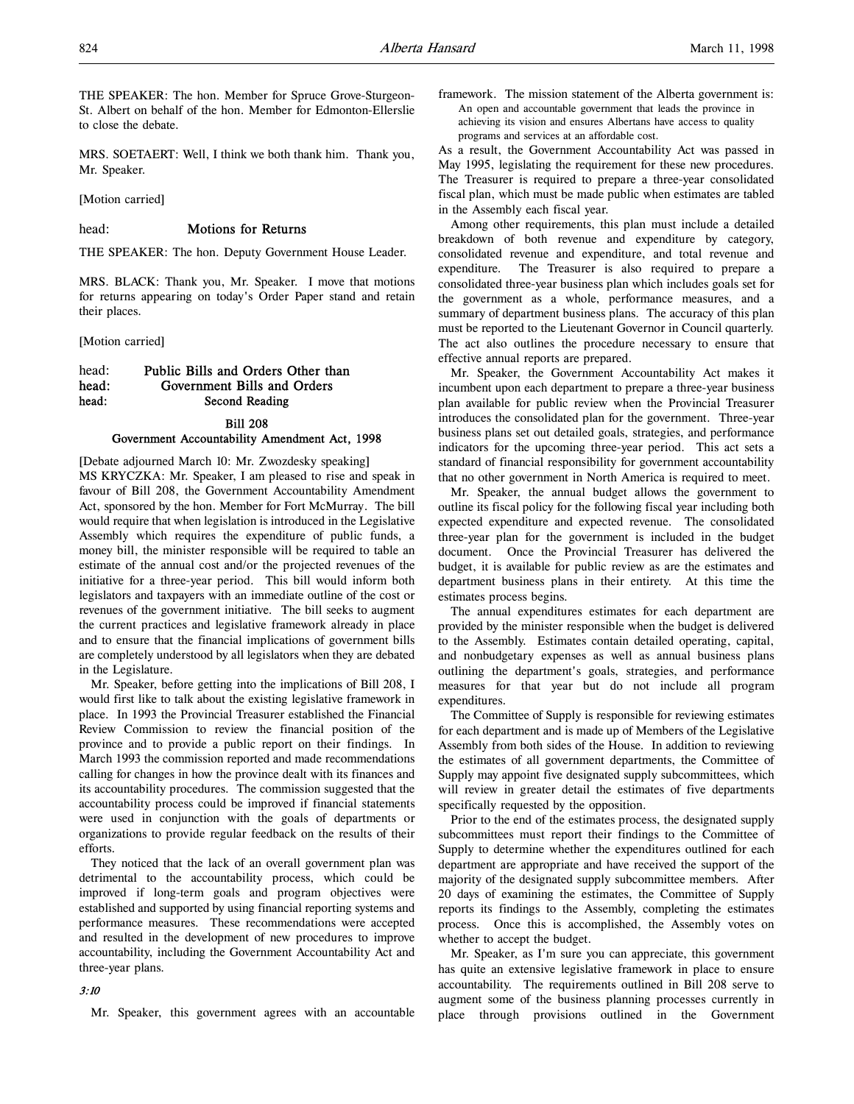THE SPEAKER: The hon. Member for Spruce Grove-Sturgeon-St. Albert on behalf of the hon. Member for Edmonton-Ellerslie to close the debate.

MRS. SOETAERT: Well, I think we both thank him. Thank you, Mr. Speaker.

[Motion carried]

#### head: **Motions for Returns**

THE SPEAKER: The hon. Deputy Government House Leader.

MRS. BLACK: Thank you, Mr. Speaker. I move that motions for returns appearing on today's Order Paper stand and retain their places.

[Motion carried]

# head: Public Bills and Orders Other than head: Government Bills and Orders head: Second Reading

# Bill 208 Government Accountability Amendment Act, 1998

[Debate adjourned March 10: Mr. Zwozdesky speaking] MS KRYCZKA: Mr. Speaker, I am pleased to rise and speak in favour of Bill 208, the Government Accountability Amendment Act, sponsored by the hon. Member for Fort McMurray. The bill would require that when legislation is introduced in the Legislative Assembly which requires the expenditure of public funds, a money bill, the minister responsible will be required to table an estimate of the annual cost and/or the projected revenues of the initiative for a three-year period. This bill would inform both legislators and taxpayers with an immediate outline of the cost or revenues of the government initiative. The bill seeks to augment the current practices and legislative framework already in place and to ensure that the financial implications of government bills are completely understood by all legislators when they are debated in the Legislature.

Mr. Speaker, before getting into the implications of Bill 208, I would first like to talk about the existing legislative framework in place. In 1993 the Provincial Treasurer established the Financial Review Commission to review the financial position of the province and to provide a public report on their findings. In March 1993 the commission reported and made recommendations calling for changes in how the province dealt with its finances and its accountability procedures. The commission suggested that the accountability process could be improved if financial statements were used in conjunction with the goals of departments or organizations to provide regular feedback on the results of their efforts.

They noticed that the lack of an overall government plan was detrimental to the accountability process, which could be improved if long-term goals and program objectives were established and supported by using financial reporting systems and performance measures. These recommendations were accepted and resulted in the development of new procedures to improve accountability, including the Government Accountability Act and three-year plans.

#### 3:10

Mr. Speaker, this government agrees with an accountable

framework. The mission statement of the Alberta government is: An open and accountable government that leads the province in achieving its vision and ensures Albertans have access to quality programs and services at an affordable cost.

As a result, the Government Accountability Act was passed in May 1995, legislating the requirement for these new procedures. The Treasurer is required to prepare a three-year consolidated fiscal plan, which must be made public when estimates are tabled in the Assembly each fiscal year.

Among other requirements, this plan must include a detailed breakdown of both revenue and expenditure by category, consolidated revenue and expenditure, and total revenue and expenditure. The Treasurer is also required to prepare a consolidated three-year business plan which includes goals set for the government as a whole, performance measures, and a summary of department business plans. The accuracy of this plan must be reported to the Lieutenant Governor in Council quarterly. The act also outlines the procedure necessary to ensure that effective annual reports are prepared.

Mr. Speaker, the Government Accountability Act makes it incumbent upon each department to prepare a three-year business plan available for public review when the Provincial Treasurer introduces the consolidated plan for the government. Three-year business plans set out detailed goals, strategies, and performance indicators for the upcoming three-year period. This act sets a standard of financial responsibility for government accountability that no other government in North America is required to meet.

Mr. Speaker, the annual budget allows the government to outline its fiscal policy for the following fiscal year including both expected expenditure and expected revenue. The consolidated three-year plan for the government is included in the budget document. Once the Provincial Treasurer has delivered the budget, it is available for public review as are the estimates and department business plans in their entirety. At this time the estimates process begins.

The annual expenditures estimates for each department are provided by the minister responsible when the budget is delivered to the Assembly. Estimates contain detailed operating, capital, and nonbudgetary expenses as well as annual business plans outlining the department's goals, strategies, and performance measures for that year but do not include all program expenditures.

The Committee of Supply is responsible for reviewing estimates for each department and is made up of Members of the Legislative Assembly from both sides of the House. In addition to reviewing the estimates of all government departments, the Committee of Supply may appoint five designated supply subcommittees, which will review in greater detail the estimates of five departments specifically requested by the opposition.

Prior to the end of the estimates process, the designated supply subcommittees must report their findings to the Committee of Supply to determine whether the expenditures outlined for each department are appropriate and have received the support of the majority of the designated supply subcommittee members. After 20 days of examining the estimates, the Committee of Supply reports its findings to the Assembly, completing the estimates process. Once this is accomplished, the Assembly votes on whether to accept the budget.

Mr. Speaker, as I'm sure you can appreciate, this government has quite an extensive legislative framework in place to ensure accountability. The requirements outlined in Bill 208 serve to augment some of the business planning processes currently in place through provisions outlined in the Government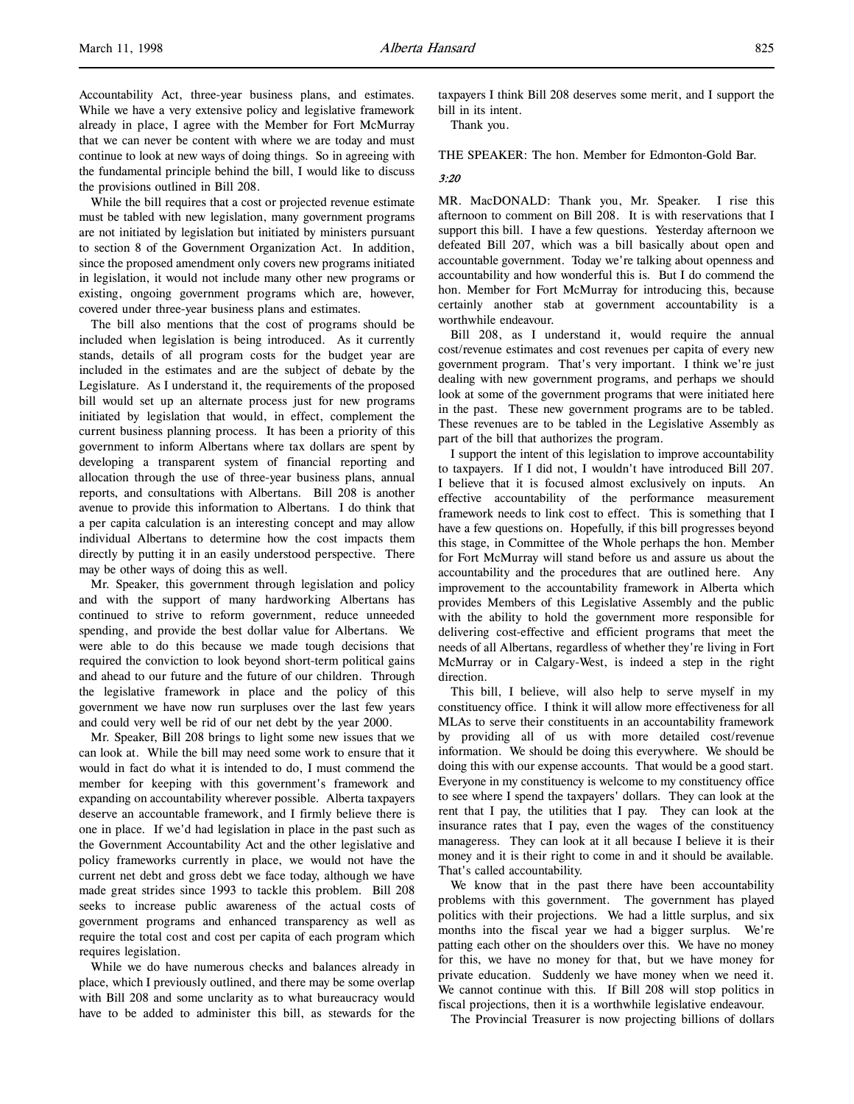Accountability Act, three-year business plans, and estimates. While we have a very extensive policy and legislative framework already in place, I agree with the Member for Fort McMurray that we can never be content with where we are today and must continue to look at new ways of doing things. So in agreeing with the fundamental principle behind the bill, I would like to discuss the provisions outlined in Bill 208.

While the bill requires that a cost or projected revenue estimate must be tabled with new legislation, many government programs are not initiated by legislation but initiated by ministers pursuant to section 8 of the Government Organization Act. In addition, since the proposed amendment only covers new programs initiated in legislation, it would not include many other new programs or existing, ongoing government programs which are, however, covered under three-year business plans and estimates.

The bill also mentions that the cost of programs should be included when legislation is being introduced. As it currently stands, details of all program costs for the budget year are included in the estimates and are the subject of debate by the Legislature. As I understand it, the requirements of the proposed bill would set up an alternate process just for new programs initiated by legislation that would, in effect, complement the current business planning process. It has been a priority of this government to inform Albertans where tax dollars are spent by developing a transparent system of financial reporting and allocation through the use of three-year business plans, annual reports, and consultations with Albertans. Bill 208 is another avenue to provide this information to Albertans. I do think that a per capita calculation is an interesting concept and may allow individual Albertans to determine how the cost impacts them directly by putting it in an easily understood perspective. There may be other ways of doing this as well.

Mr. Speaker, this government through legislation and policy and with the support of many hardworking Albertans has continued to strive to reform government, reduce unneeded spending, and provide the best dollar value for Albertans. We were able to do this because we made tough decisions that required the conviction to look beyond short-term political gains and ahead to our future and the future of our children. Through the legislative framework in place and the policy of this government we have now run surpluses over the last few years and could very well be rid of our net debt by the year 2000.

Mr. Speaker, Bill 208 brings to light some new issues that we can look at. While the bill may need some work to ensure that it would in fact do what it is intended to do, I must commend the member for keeping with this government's framework and expanding on accountability wherever possible. Alberta taxpayers deserve an accountable framework, and I firmly believe there is one in place. If we'd had legislation in place in the past such as the Government Accountability Act and the other legislative and policy frameworks currently in place, we would not have the current net debt and gross debt we face today, although we have made great strides since 1993 to tackle this problem. Bill 208 seeks to increase public awareness of the actual costs of government programs and enhanced transparency as well as require the total cost and cost per capita of each program which requires legislation.

While we do have numerous checks and balances already in place, which I previously outlined, and there may be some overlap with Bill 208 and some unclarity as to what bureaucracy would have to be added to administer this bill, as stewards for the

taxpayers I think Bill 208 deserves some merit, and I support the bill in its intent.

Thank you.

THE SPEAKER: The hon. Member for Edmonton-Gold Bar.

#### 3:20

MR. MacDONALD: Thank you, Mr. Speaker. I rise this afternoon to comment on Bill 208. It is with reservations that I support this bill. I have a few questions. Yesterday afternoon we defeated Bill 207, which was a bill basically about open and accountable government. Today we're talking about openness and accountability and how wonderful this is. But I do commend the hon. Member for Fort McMurray for introducing this, because certainly another stab at government accountability is a worthwhile endeavour.

Bill 208, as I understand it, would require the annual cost/revenue estimates and cost revenues per capita of every new government program. That's very important. I think we're just dealing with new government programs, and perhaps we should look at some of the government programs that were initiated here in the past. These new government programs are to be tabled. These revenues are to be tabled in the Legislative Assembly as part of the bill that authorizes the program.

I support the intent of this legislation to improve accountability to taxpayers. If I did not, I wouldn't have introduced Bill 207. I believe that it is focused almost exclusively on inputs. An effective accountability of the performance measurement framework needs to link cost to effect. This is something that I have a few questions on. Hopefully, if this bill progresses beyond this stage, in Committee of the Whole perhaps the hon. Member for Fort McMurray will stand before us and assure us about the accountability and the procedures that are outlined here. Any improvement to the accountability framework in Alberta which provides Members of this Legislative Assembly and the public with the ability to hold the government more responsible for delivering cost-effective and efficient programs that meet the needs of all Albertans, regardless of whether they're living in Fort McMurray or in Calgary-West, is indeed a step in the right direction.

This bill, I believe, will also help to serve myself in my constituency office. I think it will allow more effectiveness for all MLAs to serve their constituents in an accountability framework by providing all of us with more detailed cost/revenue information. We should be doing this everywhere. We should be doing this with our expense accounts. That would be a good start. Everyone in my constituency is welcome to my constituency office to see where I spend the taxpayers' dollars. They can look at the rent that I pay, the utilities that I pay. They can look at the insurance rates that I pay, even the wages of the constituency manageress. They can look at it all because I believe it is their money and it is their right to come in and it should be available. That's called accountability.

We know that in the past there have been accountability problems with this government. The government has played politics with their projections. We had a little surplus, and six months into the fiscal year we had a bigger surplus. We're patting each other on the shoulders over this. We have no money for this, we have no money for that, but we have money for private education. Suddenly we have money when we need it. We cannot continue with this. If Bill 208 will stop politics in fiscal projections, then it is a worthwhile legislative endeavour.

The Provincial Treasurer is now projecting billions of dollars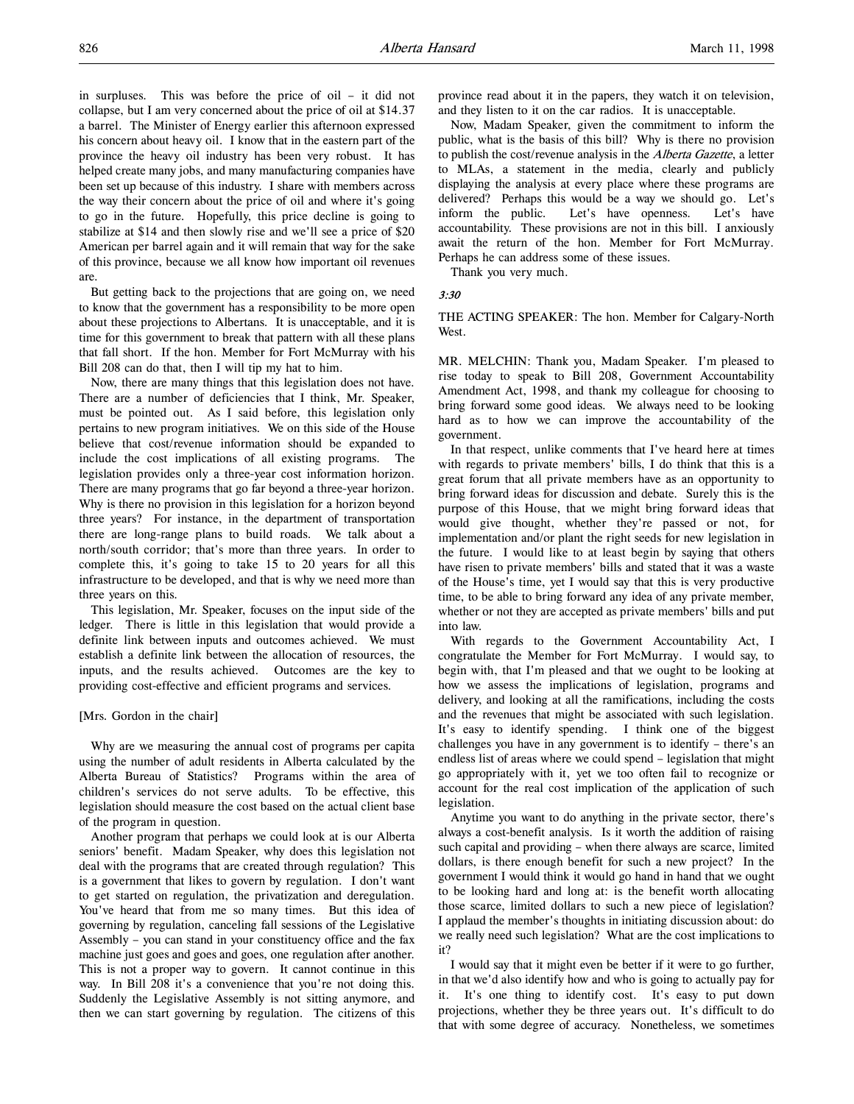in surpluses. This was before the price of oil – it did not collapse, but I am very concerned about the price of oil at \$14.37 a barrel. The Minister of Energy earlier this afternoon expressed his concern about heavy oil. I know that in the eastern part of the province the heavy oil industry has been very robust. It has helped create many jobs, and many manufacturing companies have been set up because of this industry. I share with members across the way their concern about the price of oil and where it's going to go in the future. Hopefully, this price decline is going to stabilize at \$14 and then slowly rise and we'll see a price of \$20 American per barrel again and it will remain that way for the sake of this province, because we all know how important oil revenues are.

But getting back to the projections that are going on, we need to know that the government has a responsibility to be more open about these projections to Albertans. It is unacceptable, and it is time for this government to break that pattern with all these plans that fall short. If the hon. Member for Fort McMurray with his Bill 208 can do that, then I will tip my hat to him.

Now, there are many things that this legislation does not have. There are a number of deficiencies that I think, Mr. Speaker, must be pointed out. As I said before, this legislation only pertains to new program initiatives. We on this side of the House believe that cost/revenue information should be expanded to include the cost implications of all existing programs. The legislation provides only a three-year cost information horizon. There are many programs that go far beyond a three-year horizon. Why is there no provision in this legislation for a horizon beyond three years? For instance, in the department of transportation there are long-range plans to build roads. We talk about a north/south corridor; that's more than three years. In order to complete this, it's going to take 15 to 20 years for all this infrastructure to be developed, and that is why we need more than three years on this.

This legislation, Mr. Speaker, focuses on the input side of the ledger. There is little in this legislation that would provide a definite link between inputs and outcomes achieved. We must establish a definite link between the allocation of resources, the inputs, and the results achieved. Outcomes are the key to providing cost-effective and efficient programs and services.

#### [Mrs. Gordon in the chair]

Why are we measuring the annual cost of programs per capita using the number of adult residents in Alberta calculated by the Alberta Bureau of Statistics? Programs within the area of children's services do not serve adults. To be effective, this legislation should measure the cost based on the actual client base of the program in question.

Another program that perhaps we could look at is our Alberta seniors' benefit. Madam Speaker, why does this legislation not deal with the programs that are created through regulation? This is a government that likes to govern by regulation. I don't want to get started on regulation, the privatization and deregulation. You've heard that from me so many times. But this idea of governing by regulation, canceling fall sessions of the Legislative Assembly – you can stand in your constituency office and the fax machine just goes and goes and goes, one regulation after another. This is not a proper way to govern. It cannot continue in this way. In Bill 208 it's a convenience that you're not doing this. Suddenly the Legislative Assembly is not sitting anymore, and then we can start governing by regulation. The citizens of this

province read about it in the papers, they watch it on television, and they listen to it on the car radios. It is unacceptable.

Now, Madam Speaker, given the commitment to inform the public, what is the basis of this bill? Why is there no provision to publish the cost/revenue analysis in the Alberta Gazette, a letter to MLAs, a statement in the media, clearly and publicly displaying the analysis at every place where these programs are delivered? Perhaps this would be a way we should go. Let's inform the public. Let's have openness. Let's have accountability. These provisions are not in this bill. I anxiously await the return of the hon. Member for Fort McMurray. Perhaps he can address some of these issues.

Thank you very much.

#### 3:30

THE ACTING SPEAKER: The hon. Member for Calgary-North West.

MR. MELCHIN: Thank you, Madam Speaker. I'm pleased to rise today to speak to Bill 208, Government Accountability Amendment Act, 1998, and thank my colleague for choosing to bring forward some good ideas. We always need to be looking hard as to how we can improve the accountability of the government.

In that respect, unlike comments that I've heard here at times with regards to private members' bills, I do think that this is a great forum that all private members have as an opportunity to bring forward ideas for discussion and debate. Surely this is the purpose of this House, that we might bring forward ideas that would give thought, whether they're passed or not, for implementation and/or plant the right seeds for new legislation in the future. I would like to at least begin by saying that others have risen to private members' bills and stated that it was a waste of the House's time, yet I would say that this is very productive time, to be able to bring forward any idea of any private member, whether or not they are accepted as private members' bills and put into law.

With regards to the Government Accountability Act, I congratulate the Member for Fort McMurray. I would say, to begin with, that I'm pleased and that we ought to be looking at how we assess the implications of legislation, programs and delivery, and looking at all the ramifications, including the costs and the revenues that might be associated with such legislation. It's easy to identify spending. I think one of the biggest challenges you have in any government is to identify – there's an endless list of areas where we could spend – legislation that might go appropriately with it, yet we too often fail to recognize or account for the real cost implication of the application of such legislation.

Anytime you want to do anything in the private sector, there's always a cost-benefit analysis. Is it worth the addition of raising such capital and providing – when there always are scarce, limited dollars, is there enough benefit for such a new project? In the government I would think it would go hand in hand that we ought to be looking hard and long at: is the benefit worth allocating those scarce, limited dollars to such a new piece of legislation? I applaud the member's thoughts in initiating discussion about: do we really need such legislation? What are the cost implications to it?

I would say that it might even be better if it were to go further, in that we'd also identify how and who is going to actually pay for it. It's one thing to identify cost. It's easy to put down projections, whether they be three years out. It's difficult to do that with some degree of accuracy. Nonetheless, we sometimes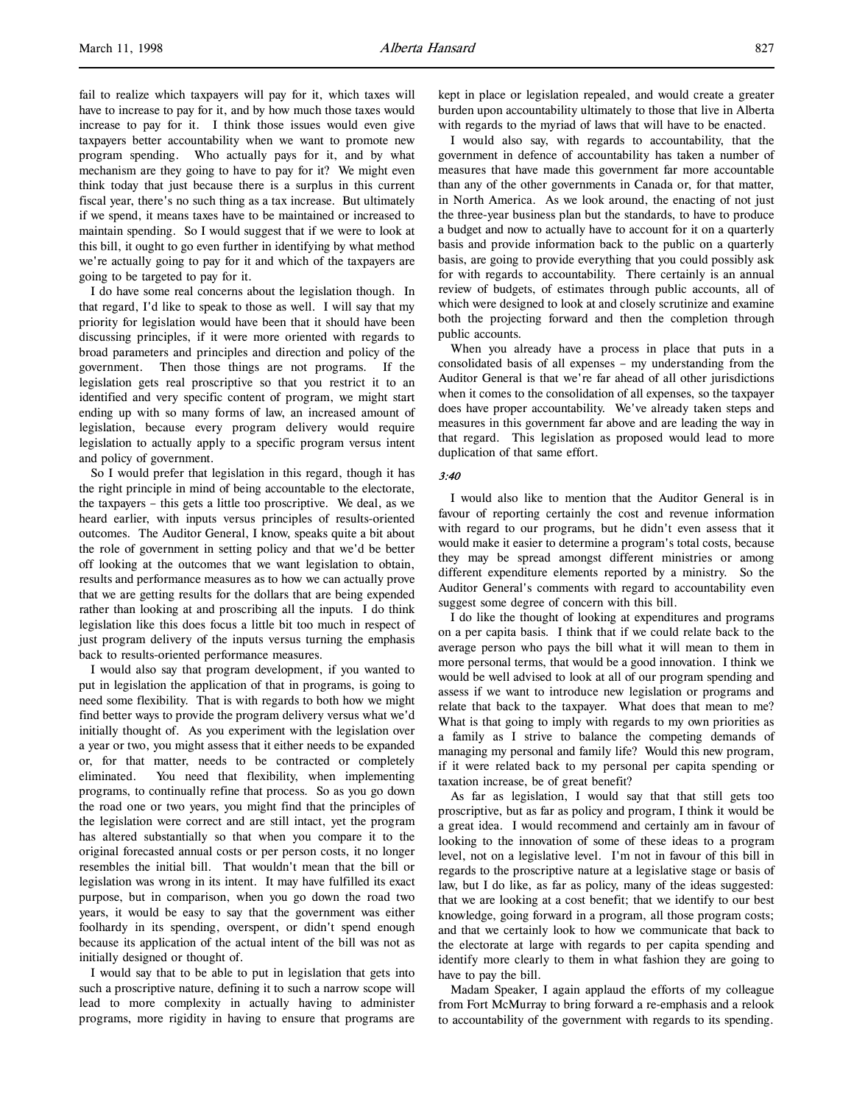fail to realize which taxpayers will pay for it, which taxes will have to increase to pay for it, and by how much those taxes would increase to pay for it. I think those issues would even give taxpayers better accountability when we want to promote new program spending. Who actually pays for it, and by what mechanism are they going to have to pay for it? We might even think today that just because there is a surplus in this current fiscal year, there's no such thing as a tax increase. But ultimately if we spend, it means taxes have to be maintained or increased to maintain spending. So I would suggest that if we were to look at this bill, it ought to go even further in identifying by what method we're actually going to pay for it and which of the taxpayers are going to be targeted to pay for it.

I do have some real concerns about the legislation though. In that regard, I'd like to speak to those as well. I will say that my priority for legislation would have been that it should have been discussing principles, if it were more oriented with regards to broad parameters and principles and direction and policy of the government. Then those things are not programs. If the legislation gets real proscriptive so that you restrict it to an identified and very specific content of program, we might start ending up with so many forms of law, an increased amount of legislation, because every program delivery would require legislation to actually apply to a specific program versus intent and policy of government.

So I would prefer that legislation in this regard, though it has the right principle in mind of being accountable to the electorate, the taxpayers – this gets a little too proscriptive. We deal, as we heard earlier, with inputs versus principles of results-oriented outcomes. The Auditor General, I know, speaks quite a bit about the role of government in setting policy and that we'd be better off looking at the outcomes that we want legislation to obtain, results and performance measures as to how we can actually prove that we are getting results for the dollars that are being expended rather than looking at and proscribing all the inputs. I do think legislation like this does focus a little bit too much in respect of just program delivery of the inputs versus turning the emphasis back to results-oriented performance measures.

I would also say that program development, if you wanted to put in legislation the application of that in programs, is going to need some flexibility. That is with regards to both how we might find better ways to provide the program delivery versus what we'd initially thought of. As you experiment with the legislation over a year or two, you might assess that it either needs to be expanded or, for that matter, needs to be contracted or completely eliminated. You need that flexibility, when implementing programs, to continually refine that process. So as you go down the road one or two years, you might find that the principles of the legislation were correct and are still intact, yet the program has altered substantially so that when you compare it to the original forecasted annual costs or per person costs, it no longer resembles the initial bill. That wouldn't mean that the bill or legislation was wrong in its intent. It may have fulfilled its exact purpose, but in comparison, when you go down the road two years, it would be easy to say that the government was either foolhardy in its spending, overspent, or didn't spend enough because its application of the actual intent of the bill was not as initially designed or thought of.

I would say that to be able to put in legislation that gets into such a proscriptive nature, defining it to such a narrow scope will lead to more complexity in actually having to administer programs, more rigidity in having to ensure that programs are kept in place or legislation repealed, and would create a greater burden upon accountability ultimately to those that live in Alberta with regards to the myriad of laws that will have to be enacted.

I would also say, with regards to accountability, that the government in defence of accountability has taken a number of measures that have made this government far more accountable than any of the other governments in Canada or, for that matter, in North America. As we look around, the enacting of not just the three-year business plan but the standards, to have to produce a budget and now to actually have to account for it on a quarterly basis and provide information back to the public on a quarterly basis, are going to provide everything that you could possibly ask for with regards to accountability. There certainly is an annual review of budgets, of estimates through public accounts, all of which were designed to look at and closely scrutinize and examine both the projecting forward and then the completion through public accounts.

When you already have a process in place that puts in a consolidated basis of all expenses – my understanding from the Auditor General is that we're far ahead of all other jurisdictions when it comes to the consolidation of all expenses, so the taxpayer does have proper accountability. We've already taken steps and measures in this government far above and are leading the way in that regard. This legislation as proposed would lead to more duplication of that same effort.

#### 3:40

I would also like to mention that the Auditor General is in favour of reporting certainly the cost and revenue information with regard to our programs, but he didn't even assess that it would make it easier to determine a program's total costs, because they may be spread amongst different ministries or among different expenditure elements reported by a ministry. So the Auditor General's comments with regard to accountability even suggest some degree of concern with this bill.

I do like the thought of looking at expenditures and programs on a per capita basis. I think that if we could relate back to the average person who pays the bill what it will mean to them in more personal terms, that would be a good innovation. I think we would be well advised to look at all of our program spending and assess if we want to introduce new legislation or programs and relate that back to the taxpayer. What does that mean to me? What is that going to imply with regards to my own priorities as a family as I strive to balance the competing demands of managing my personal and family life? Would this new program, if it were related back to my personal per capita spending or taxation increase, be of great benefit?

As far as legislation, I would say that that still gets too proscriptive, but as far as policy and program, I think it would be a great idea. I would recommend and certainly am in favour of looking to the innovation of some of these ideas to a program level, not on a legislative level. I'm not in favour of this bill in regards to the proscriptive nature at a legislative stage or basis of law, but I do like, as far as policy, many of the ideas suggested: that we are looking at a cost benefit; that we identify to our best knowledge, going forward in a program, all those program costs; and that we certainly look to how we communicate that back to the electorate at large with regards to per capita spending and identify more clearly to them in what fashion they are going to have to pay the bill.

Madam Speaker, I again applaud the efforts of my colleague from Fort McMurray to bring forward a re-emphasis and a relook to accountability of the government with regards to its spending.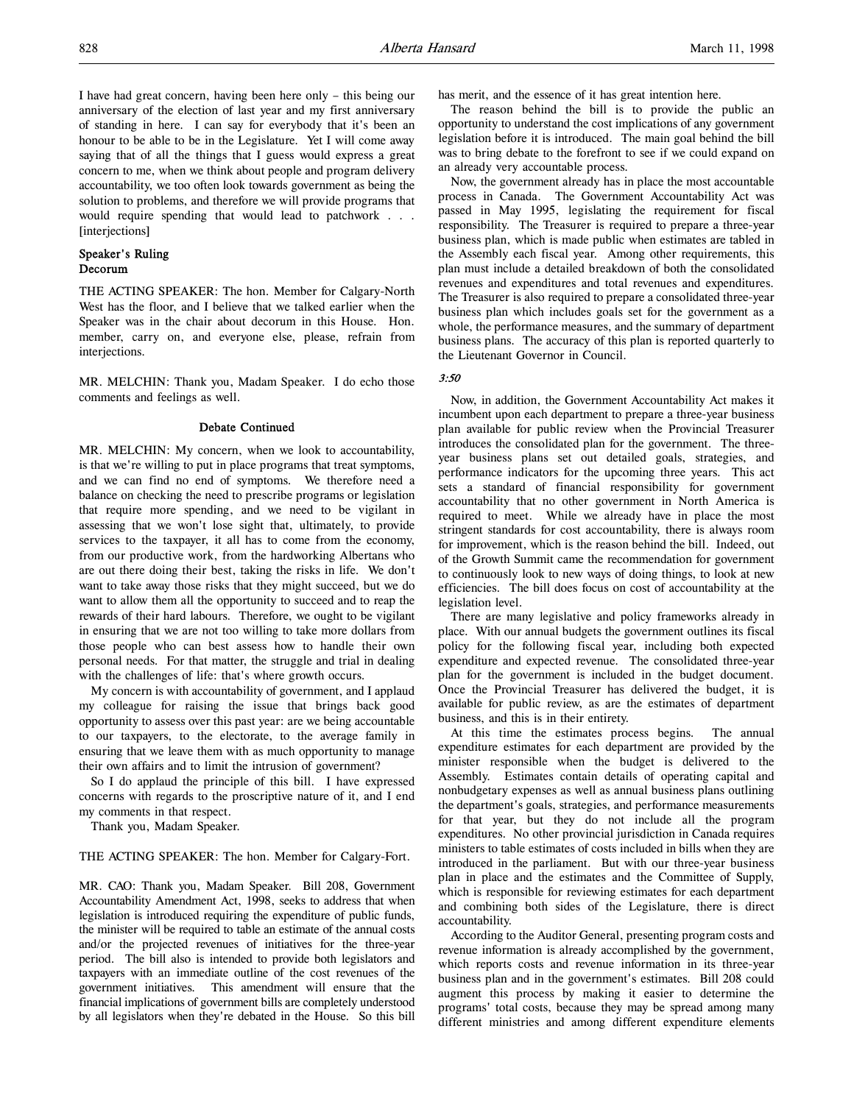I have had great concern, having been here only – this being our anniversary of the election of last year and my first anniversary of standing in here. I can say for everybody that it's been an honour to be able to be in the Legislature. Yet I will come away saying that of all the things that I guess would express a great concern to me, when we think about people and program delivery accountability, we too often look towards government as being the solution to problems, and therefore we will provide programs that would require spending that would lead to patchwork . . . [interjections]

#### Speaker's Ruling Decorum

THE ACTING SPEAKER: The hon. Member for Calgary-North West has the floor, and I believe that we talked earlier when the Speaker was in the chair about decorum in this House. Hon. member, carry on, and everyone else, please, refrain from interjections.

MR. MELCHIN: Thank you, Madam Speaker. I do echo those comments and feelings as well.

#### Debate Continued

MR. MELCHIN: My concern, when we look to accountability, is that we're willing to put in place programs that treat symptoms, and we can find no end of symptoms. We therefore need a balance on checking the need to prescribe programs or legislation that require more spending, and we need to be vigilant in assessing that we won't lose sight that, ultimately, to provide services to the taxpayer, it all has to come from the economy, from our productive work, from the hardworking Albertans who are out there doing their best, taking the risks in life. We don't want to take away those risks that they might succeed, but we do want to allow them all the opportunity to succeed and to reap the rewards of their hard labours. Therefore, we ought to be vigilant in ensuring that we are not too willing to take more dollars from those people who can best assess how to handle their own personal needs. For that matter, the struggle and trial in dealing with the challenges of life: that's where growth occurs.

My concern is with accountability of government, and I applaud my colleague for raising the issue that brings back good opportunity to assess over this past year: are we being accountable to our taxpayers, to the electorate, to the average family in ensuring that we leave them with as much opportunity to manage their own affairs and to limit the intrusion of government?

So I do applaud the principle of this bill. I have expressed concerns with regards to the proscriptive nature of it, and I end my comments in that respect.

Thank you, Madam Speaker.

#### THE ACTING SPEAKER: The hon. Member for Calgary-Fort.

MR. CAO: Thank you, Madam Speaker. Bill 208, Government Accountability Amendment Act, 1998, seeks to address that when legislation is introduced requiring the expenditure of public funds, the minister will be required to table an estimate of the annual costs and/or the projected revenues of initiatives for the three-year period. The bill also is intended to provide both legislators and taxpayers with an immediate outline of the cost revenues of the government initiatives. This amendment will ensure that the financial implications of government bills are completely understood by all legislators when they're debated in the House. So this bill has merit, and the essence of it has great intention here.

The reason behind the bill is to provide the public an opportunity to understand the cost implications of any government legislation before it is introduced. The main goal behind the bill was to bring debate to the forefront to see if we could expand on an already very accountable process.

Now, the government already has in place the most accountable process in Canada. The Government Accountability Act was passed in May 1995, legislating the requirement for fiscal responsibility. The Treasurer is required to prepare a three-year business plan, which is made public when estimates are tabled in the Assembly each fiscal year. Among other requirements, this plan must include a detailed breakdown of both the consolidated revenues and expenditures and total revenues and expenditures. The Treasurer is also required to prepare a consolidated three-year business plan which includes goals set for the government as a whole, the performance measures, and the summary of department business plans. The accuracy of this plan is reported quarterly to the Lieutenant Governor in Council.

#### 3:50

Now, in addition, the Government Accountability Act makes it incumbent upon each department to prepare a three-year business plan available for public review when the Provincial Treasurer introduces the consolidated plan for the government. The threeyear business plans set out detailed goals, strategies, and performance indicators for the upcoming three years. This act sets a standard of financial responsibility for government accountability that no other government in North America is required to meet. While we already have in place the most stringent standards for cost accountability, there is always room for improvement, which is the reason behind the bill. Indeed, out of the Growth Summit came the recommendation for government to continuously look to new ways of doing things, to look at new efficiencies. The bill does focus on cost of accountability at the legislation level.

There are many legislative and policy frameworks already in place. With our annual budgets the government outlines its fiscal policy for the following fiscal year, including both expected expenditure and expected revenue. The consolidated three-year plan for the government is included in the budget document. Once the Provincial Treasurer has delivered the budget, it is available for public review, as are the estimates of department business, and this is in their entirety.

At this time the estimates process begins. The annual expenditure estimates for each department are provided by the minister responsible when the budget is delivered to the Assembly. Estimates contain details of operating capital and nonbudgetary expenses as well as annual business plans outlining the department's goals, strategies, and performance measurements for that year, but they do not include all the program expenditures. No other provincial jurisdiction in Canada requires ministers to table estimates of costs included in bills when they are introduced in the parliament. But with our three-year business plan in place and the estimates and the Committee of Supply, which is responsible for reviewing estimates for each department and combining both sides of the Legislature, there is direct accountability.

According to the Auditor General, presenting program costs and revenue information is already accomplished by the government, which reports costs and revenue information in its three-year business plan and in the government's estimates. Bill 208 could augment this process by making it easier to determine the programs' total costs, because they may be spread among many different ministries and among different expenditure elements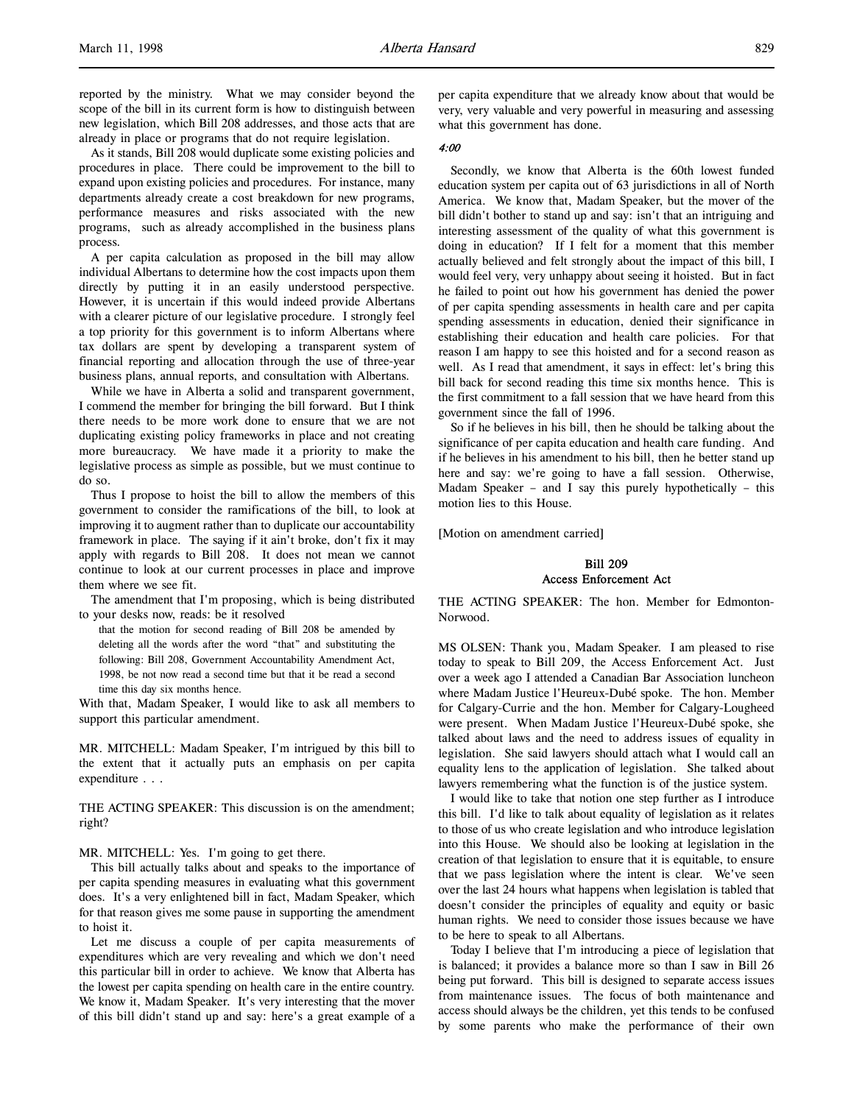reported by the ministry. What we may consider beyond the scope of the bill in its current form is how to distinguish between new legislation, which Bill 208 addresses, and those acts that are already in place or programs that do not require legislation.

As it stands, Bill 208 would duplicate some existing policies and procedures in place. There could be improvement to the bill to expand upon existing policies and procedures. For instance, many departments already create a cost breakdown for new programs, performance measures and risks associated with the new programs, such as already accomplished in the business plans process.

A per capita calculation as proposed in the bill may allow individual Albertans to determine how the cost impacts upon them directly by putting it in an easily understood perspective. However, it is uncertain if this would indeed provide Albertans with a clearer picture of our legislative procedure. I strongly feel a top priority for this government is to inform Albertans where tax dollars are spent by developing a transparent system of financial reporting and allocation through the use of three-year business plans, annual reports, and consultation with Albertans.

While we have in Alberta a solid and transparent government, I commend the member for bringing the bill forward. But I think there needs to be more work done to ensure that we are not duplicating existing policy frameworks in place and not creating more bureaucracy. We have made it a priority to make the legislative process as simple as possible, but we must continue to do so.

Thus I propose to hoist the bill to allow the members of this government to consider the ramifications of the bill, to look at improving it to augment rather than to duplicate our accountability framework in place. The saying if it ain't broke, don't fix it may apply with regards to Bill 208. It does not mean we cannot continue to look at our current processes in place and improve them where we see fit.

The amendment that I'm proposing, which is being distributed to your desks now, reads: be it resolved

that the motion for second reading of Bill 208 be amended by deleting all the words after the word "that" and substituting the following: Bill 208, Government Accountability Amendment Act, 1998, be not now read a second time but that it be read a second time this day six months hence.

With that, Madam Speaker, I would like to ask all members to support this particular amendment.

MR. MITCHELL: Madam Speaker, I'm intrigued by this bill to the extent that it actually puts an emphasis on per capita expenditure . . .

THE ACTING SPEAKER: This discussion is on the amendment; right?

MR. MITCHELL: Yes. I'm going to get there.

This bill actually talks about and speaks to the importance of per capita spending measures in evaluating what this government does. It's a very enlightened bill in fact, Madam Speaker, which for that reason gives me some pause in supporting the amendment to hoist it.

Let me discuss a couple of per capita measurements of expenditures which are very revealing and which we don't need this particular bill in order to achieve. We know that Alberta has the lowest per capita spending on health care in the entire country. We know it, Madam Speaker. It's very interesting that the mover of this bill didn't stand up and say: here's a great example of a

per capita expenditure that we already know about that would be very, very valuable and very powerful in measuring and assessing what this government has done.

#### 4:00

Secondly, we know that Alberta is the 60th lowest funded education system per capita out of 63 jurisdictions in all of North America. We know that, Madam Speaker, but the mover of the bill didn't bother to stand up and say: isn't that an intriguing and interesting assessment of the quality of what this government is doing in education? If I felt for a moment that this member actually believed and felt strongly about the impact of this bill, I would feel very, very unhappy about seeing it hoisted. But in fact he failed to point out how his government has denied the power of per capita spending assessments in health care and per capita spending assessments in education, denied their significance in establishing their education and health care policies. For that reason I am happy to see this hoisted and for a second reason as well. As I read that amendment, it says in effect: let's bring this bill back for second reading this time six months hence. This is the first commitment to a fall session that we have heard from this government since the fall of 1996.

So if he believes in his bill, then he should be talking about the significance of per capita education and health care funding. And if he believes in his amendment to his bill, then he better stand up here and say: we're going to have a fall session. Otherwise, Madam Speaker – and I say this purely hypothetically – this motion lies to this House.

[Motion on amendment carried]

# Bill 209 Access Enforcement Act

THE ACTING SPEAKER: The hon. Member for Edmonton-Norwood.

MS OLSEN: Thank you, Madam Speaker. I am pleased to rise today to speak to Bill 209, the Access Enforcement Act. Just over a week ago I attended a Canadian Bar Association luncheon where Madam Justice l'Heureux-Dubé spoke. The hon. Member for Calgary-Currie and the hon. Member for Calgary-Lougheed were present. When Madam Justice l'Heureux-Dubé spoke, she talked about laws and the need to address issues of equality in legislation. She said lawyers should attach what I would call an equality lens to the application of legislation. She talked about lawyers remembering what the function is of the justice system.

I would like to take that notion one step further as I introduce this bill. I'd like to talk about equality of legislation as it relates to those of us who create legislation and who introduce legislation into this House. We should also be looking at legislation in the creation of that legislation to ensure that it is equitable, to ensure that we pass legislation where the intent is clear. We've seen over the last 24 hours what happens when legislation is tabled that doesn't consider the principles of equality and equity or basic human rights. We need to consider those issues because we have to be here to speak to all Albertans.

Today I believe that I'm introducing a piece of legislation that is balanced; it provides a balance more so than I saw in Bill 26 being put forward. This bill is designed to separate access issues from maintenance issues. The focus of both maintenance and access should always be the children, yet this tends to be confused by some parents who make the performance of their own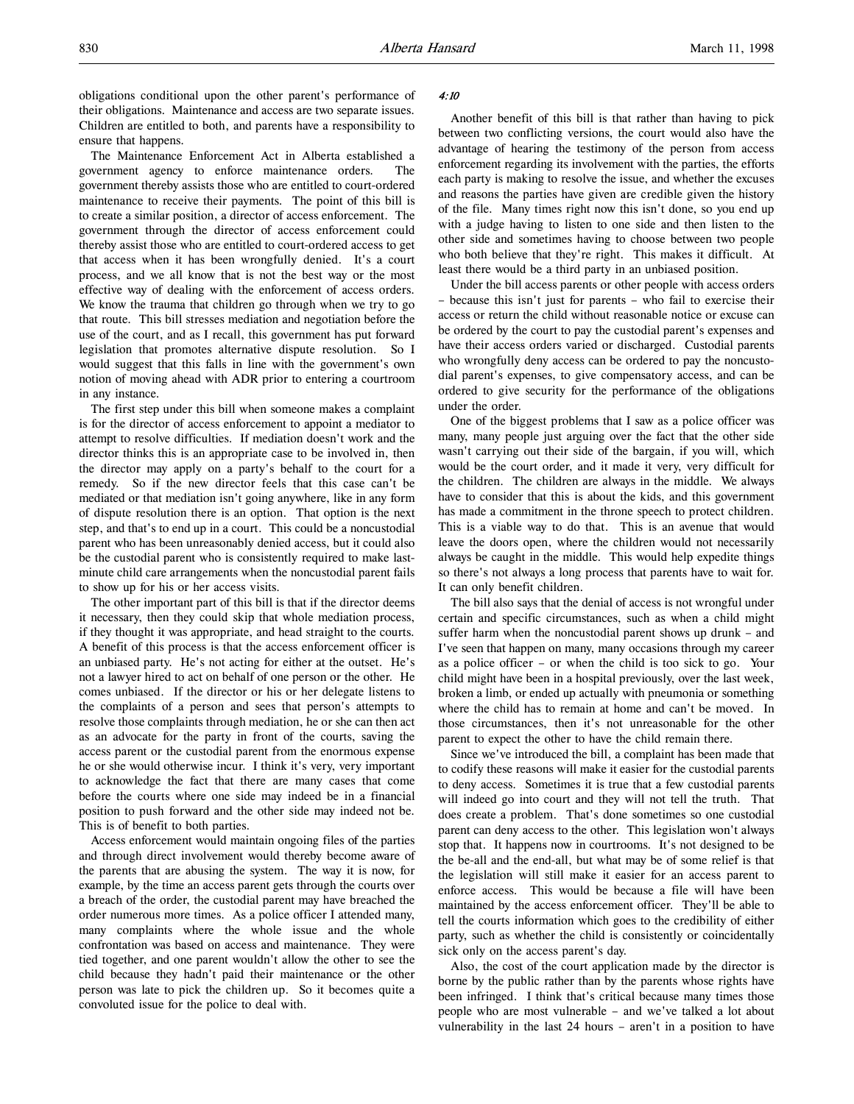The Maintenance Enforcement Act in Alberta established a government agency to enforce maintenance orders. The government thereby assists those who are entitled to court-ordered maintenance to receive their payments. The point of this bill is to create a similar position, a director of access enforcement. The government through the director of access enforcement could thereby assist those who are entitled to court-ordered access to get that access when it has been wrongfully denied. It's a court process, and we all know that is not the best way or the most effective way of dealing with the enforcement of access orders. We know the trauma that children go through when we try to go that route. This bill stresses mediation and negotiation before the use of the court, and as I recall, this government has put forward legislation that promotes alternative dispute resolution. So I would suggest that this falls in line with the government's own notion of moving ahead with ADR prior to entering a courtroom in any instance.

The first step under this bill when someone makes a complaint is for the director of access enforcement to appoint a mediator to attempt to resolve difficulties. If mediation doesn't work and the director thinks this is an appropriate case to be involved in, then the director may apply on a party's behalf to the court for a remedy. So if the new director feels that this case can't be mediated or that mediation isn't going anywhere, like in any form of dispute resolution there is an option. That option is the next step, and that's to end up in a court. This could be a noncustodial parent who has been unreasonably denied access, but it could also be the custodial parent who is consistently required to make lastminute child care arrangements when the noncustodial parent fails to show up for his or her access visits.

The other important part of this bill is that if the director deems it necessary, then they could skip that whole mediation process, if they thought it was appropriate, and head straight to the courts. A benefit of this process is that the access enforcement officer is an unbiased party. He's not acting for either at the outset. He's not a lawyer hired to act on behalf of one person or the other. He comes unbiased. If the director or his or her delegate listens to the complaints of a person and sees that person's attempts to resolve those complaints through mediation, he or she can then act as an advocate for the party in front of the courts, saving the access parent or the custodial parent from the enormous expense he or she would otherwise incur. I think it's very, very important to acknowledge the fact that there are many cases that come before the courts where one side may indeed be in a financial position to push forward and the other side may indeed not be. This is of benefit to both parties.

Access enforcement would maintain ongoing files of the parties and through direct involvement would thereby become aware of the parents that are abusing the system. The way it is now, for example, by the time an access parent gets through the courts over a breach of the order, the custodial parent may have breached the order numerous more times. As a police officer I attended many, many complaints where the whole issue and the whole confrontation was based on access and maintenance. They were tied together, and one parent wouldn't allow the other to see the child because they hadn't paid their maintenance or the other person was late to pick the children up. So it becomes quite a convoluted issue for the police to deal with.

#### 4:10

Another benefit of this bill is that rather than having to pick between two conflicting versions, the court would also have the advantage of hearing the testimony of the person from access enforcement regarding its involvement with the parties, the efforts each party is making to resolve the issue, and whether the excuses and reasons the parties have given are credible given the history of the file. Many times right now this isn't done, so you end up with a judge having to listen to one side and then listen to the other side and sometimes having to choose between two people who both believe that they're right. This makes it difficult. At least there would be a third party in an unbiased position.

Under the bill access parents or other people with access orders – because this isn't just for parents – who fail to exercise their access or return the child without reasonable notice or excuse can be ordered by the court to pay the custodial parent's expenses and have their access orders varied or discharged. Custodial parents who wrongfully deny access can be ordered to pay the noncustodial parent's expenses, to give compensatory access, and can be ordered to give security for the performance of the obligations under the order.

One of the biggest problems that I saw as a police officer was many, many people just arguing over the fact that the other side wasn't carrying out their side of the bargain, if you will, which would be the court order, and it made it very, very difficult for the children. The children are always in the middle. We always have to consider that this is about the kids, and this government has made a commitment in the throne speech to protect children. This is a viable way to do that. This is an avenue that would leave the doors open, where the children would not necessarily always be caught in the middle. This would help expedite things so there's not always a long process that parents have to wait for. It can only benefit children.

The bill also says that the denial of access is not wrongful under certain and specific circumstances, such as when a child might suffer harm when the noncustodial parent shows up drunk – and I've seen that happen on many, many occasions through my career as a police officer – or when the child is too sick to go. Your child might have been in a hospital previously, over the last week, broken a limb, or ended up actually with pneumonia or something where the child has to remain at home and can't be moved. In those circumstances, then it's not unreasonable for the other parent to expect the other to have the child remain there.

Since we've introduced the bill, a complaint has been made that to codify these reasons will make it easier for the custodial parents to deny access. Sometimes it is true that a few custodial parents will indeed go into court and they will not tell the truth. That does create a problem. That's done sometimes so one custodial parent can deny access to the other. This legislation won't always stop that. It happens now in courtrooms. It's not designed to be the be-all and the end-all, but what may be of some relief is that the legislation will still make it easier for an access parent to enforce access. This would be because a file will have been maintained by the access enforcement officer. They'll be able to tell the courts information which goes to the credibility of either party, such as whether the child is consistently or coincidentally sick only on the access parent's day.

Also, the cost of the court application made by the director is borne by the public rather than by the parents whose rights have been infringed. I think that's critical because many times those people who are most vulnerable – and we've talked a lot about vulnerability in the last 24 hours – aren't in a position to have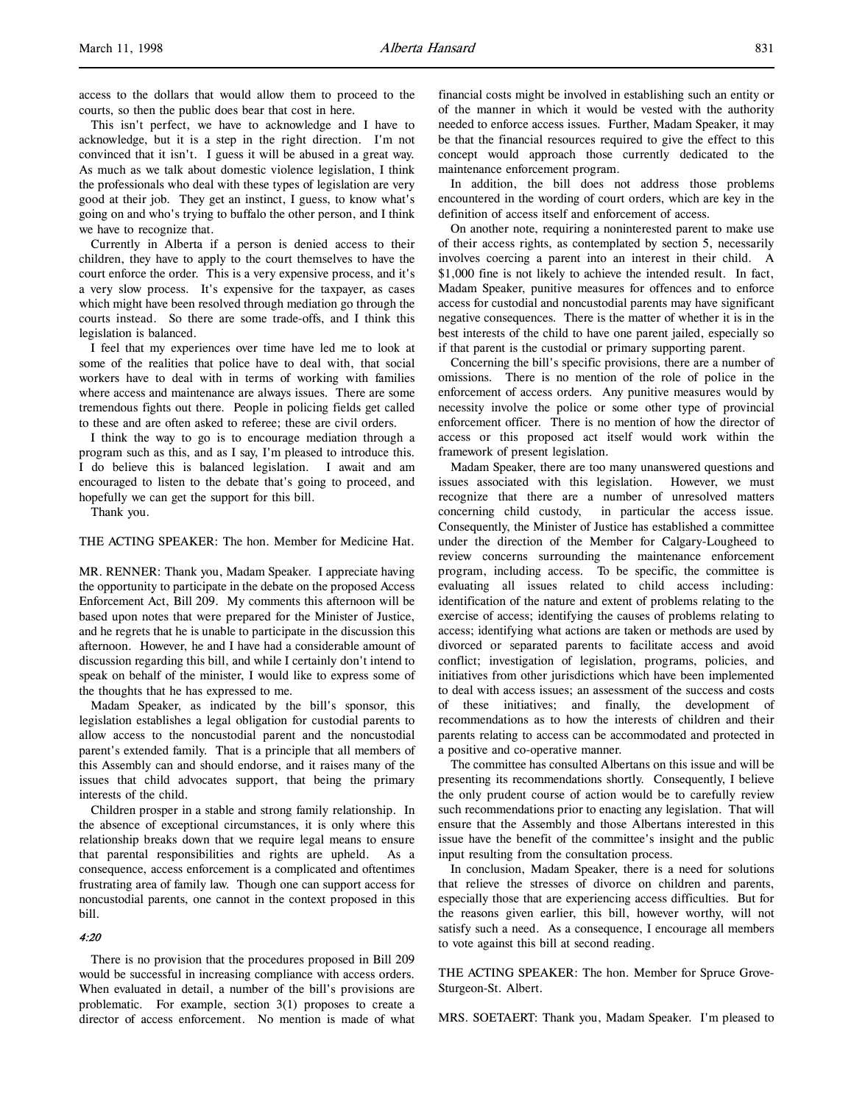access to the dollars that would allow them to proceed to the courts, so then the public does bear that cost in here.

This isn't perfect, we have to acknowledge and I have to acknowledge, but it is a step in the right direction. I'm not convinced that it isn't. I guess it will be abused in a great way. As much as we talk about domestic violence legislation, I think the professionals who deal with these types of legislation are very good at their job. They get an instinct, I guess, to know what's going on and who's trying to buffalo the other person, and I think we have to recognize that.

Currently in Alberta if a person is denied access to their children, they have to apply to the court themselves to have the court enforce the order. This is a very expensive process, and it's a very slow process. It's expensive for the taxpayer, as cases which might have been resolved through mediation go through the courts instead. So there are some trade-offs, and I think this legislation is balanced.

I feel that my experiences over time have led me to look at some of the realities that police have to deal with, that social workers have to deal with in terms of working with families where access and maintenance are always issues. There are some tremendous fights out there. People in policing fields get called to these and are often asked to referee; these are civil orders.

I think the way to go is to encourage mediation through a program such as this, and as I say, I'm pleased to introduce this. I do believe this is balanced legislation. I await and am encouraged to listen to the debate that's going to proceed, and hopefully we can get the support for this bill.

Thank you.

#### THE ACTING SPEAKER: The hon. Member for Medicine Hat.

MR. RENNER: Thank you, Madam Speaker. I appreciate having the opportunity to participate in the debate on the proposed Access Enforcement Act, Bill 209. My comments this afternoon will be based upon notes that were prepared for the Minister of Justice, and he regrets that he is unable to participate in the discussion this afternoon. However, he and I have had a considerable amount of discussion regarding this bill, and while I certainly don't intend to speak on behalf of the minister, I would like to express some of the thoughts that he has expressed to me.

Madam Speaker, as indicated by the bill's sponsor, this legislation establishes a legal obligation for custodial parents to allow access to the noncustodial parent and the noncustodial parent's extended family. That is a principle that all members of this Assembly can and should endorse, and it raises many of the issues that child advocates support, that being the primary interests of the child.

Children prosper in a stable and strong family relationship. In the absence of exceptional circumstances, it is only where this relationship breaks down that we require legal means to ensure that parental responsibilities and rights are upheld. As a consequence, access enforcement is a complicated and oftentimes frustrating area of family law. Though one can support access for noncustodial parents, one cannot in the context proposed in this bill.

#### 4:20

There is no provision that the procedures proposed in Bill 209 would be successful in increasing compliance with access orders. When evaluated in detail, a number of the bill's provisions are problematic. For example, section 3(1) proposes to create a director of access enforcement. No mention is made of what

financial costs might be involved in establishing such an entity or of the manner in which it would be vested with the authority needed to enforce access issues. Further, Madam Speaker, it may be that the financial resources required to give the effect to this concept would approach those currently dedicated to the maintenance enforcement program.

In addition, the bill does not address those problems encountered in the wording of court orders, which are key in the definition of access itself and enforcement of access.

On another note, requiring a noninterested parent to make use of their access rights, as contemplated by section 5, necessarily involves coercing a parent into an interest in their child. A \$1,000 fine is not likely to achieve the intended result. In fact, Madam Speaker, punitive measures for offences and to enforce access for custodial and noncustodial parents may have significant negative consequences. There is the matter of whether it is in the best interests of the child to have one parent jailed, especially so if that parent is the custodial or primary supporting parent.

Concerning the bill's specific provisions, there are a number of omissions. There is no mention of the role of police in the enforcement of access orders. Any punitive measures would by necessity involve the police or some other type of provincial enforcement officer. There is no mention of how the director of access or this proposed act itself would work within the framework of present legislation.

Madam Speaker, there are too many unanswered questions and issues associated with this legislation. However, we must recognize that there are a number of unresolved matters concerning child custody, in particular the access issue. Consequently, the Minister of Justice has established a committee under the direction of the Member for Calgary-Lougheed to review concerns surrounding the maintenance enforcement program, including access. To be specific, the committee is evaluating all issues related to child access including: identification of the nature and extent of problems relating to the exercise of access; identifying the causes of problems relating to access; identifying what actions are taken or methods are used by divorced or separated parents to facilitate access and avoid conflict; investigation of legislation, programs, policies, and initiatives from other jurisdictions which have been implemented to deal with access issues; an assessment of the success and costs of these initiatives; and finally, the development of recommendations as to how the interests of children and their parents relating to access can be accommodated and protected in a positive and co-operative manner.

The committee has consulted Albertans on this issue and will be presenting its recommendations shortly. Consequently, I believe the only prudent course of action would be to carefully review such recommendations prior to enacting any legislation. That will ensure that the Assembly and those Albertans interested in this issue have the benefit of the committee's insight and the public input resulting from the consultation process.

In conclusion, Madam Speaker, there is a need for solutions that relieve the stresses of divorce on children and parents, especially those that are experiencing access difficulties. But for the reasons given earlier, this bill, however worthy, will not satisfy such a need. As a consequence, I encourage all members to vote against this bill at second reading.

THE ACTING SPEAKER: The hon. Member for Spruce Grove-Sturgeon-St. Albert.

MRS. SOETAERT: Thank you, Madam Speaker. I'm pleased to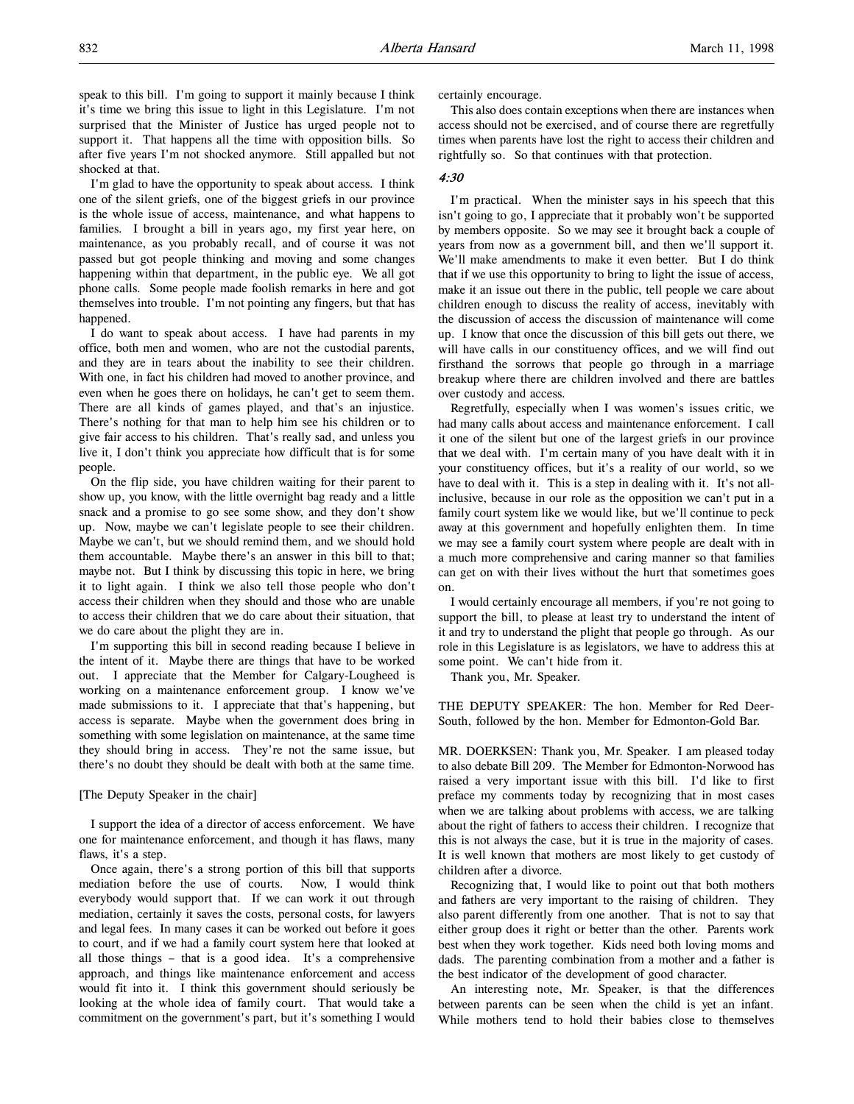speak to this bill. I'm going to support it mainly because I think it's time we bring this issue to light in this Legislature. I'm not surprised that the Minister of Justice has urged people not to support it. That happens all the time with opposition bills. So after five years I'm not shocked anymore. Still appalled but not shocked at that.

I'm glad to have the opportunity to speak about access. I think one of the silent griefs, one of the biggest griefs in our province is the whole issue of access, maintenance, and what happens to families. I brought a bill in years ago, my first year here, on maintenance, as you probably recall, and of course it was not passed but got people thinking and moving and some changes happening within that department, in the public eye. We all got phone calls. Some people made foolish remarks in here and got themselves into trouble. I'm not pointing any fingers, but that has happened.

I do want to speak about access. I have had parents in my office, both men and women, who are not the custodial parents, and they are in tears about the inability to see their children. With one, in fact his children had moved to another province, and even when he goes there on holidays, he can't get to seem them. There are all kinds of games played, and that's an injustice. There's nothing for that man to help him see his children or to give fair access to his children. That's really sad, and unless you live it, I don't think you appreciate how difficult that is for some people.

On the flip side, you have children waiting for their parent to show up, you know, with the little overnight bag ready and a little snack and a promise to go see some show, and they don't show up. Now, maybe we can't legislate people to see their children. Maybe we can't, but we should remind them, and we should hold them accountable. Maybe there's an answer in this bill to that; maybe not. But I think by discussing this topic in here, we bring it to light again. I think we also tell those people who don't access their children when they should and those who are unable to access their children that we do care about their situation, that we do care about the plight they are in.

I'm supporting this bill in second reading because I believe in the intent of it. Maybe there are things that have to be worked out. I appreciate that the Member for Calgary-Lougheed is working on a maintenance enforcement group. I know we've made submissions to it. I appreciate that that's happening, but access is separate. Maybe when the government does bring in something with some legislation on maintenance, at the same time they should bring in access. They're not the same issue, but there's no doubt they should be dealt with both at the same time.

#### [The Deputy Speaker in the chair]

I support the idea of a director of access enforcement. We have one for maintenance enforcement, and though it has flaws, many flaws, it's a step.

Once again, there's a strong portion of this bill that supports mediation before the use of courts. Now, I would think everybody would support that. If we can work it out through mediation, certainly it saves the costs, personal costs, for lawyers and legal fees. In many cases it can be worked out before it goes to court, and if we had a family court system here that looked at all those things – that is a good idea. It's a comprehensive approach, and things like maintenance enforcement and access would fit into it. I think this government should seriously be looking at the whole idea of family court. That would take a commitment on the government's part, but it's something I would

certainly encourage.

This also does contain exceptions when there are instances when access should not be exercised, and of course there are regretfully times when parents have lost the right to access their children and rightfully so. So that continues with that protection.

### 4:30

I'm practical. When the minister says in his speech that this isn't going to go, I appreciate that it probably won't be supported by members opposite. So we may see it brought back a couple of years from now as a government bill, and then we'll support it. We'll make amendments to make it even better. But I do think that if we use this opportunity to bring to light the issue of access, make it an issue out there in the public, tell people we care about children enough to discuss the reality of access, inevitably with the discussion of access the discussion of maintenance will come up. I know that once the discussion of this bill gets out there, we will have calls in our constituency offices, and we will find out firsthand the sorrows that people go through in a marriage breakup where there are children involved and there are battles over custody and access.

Regretfully, especially when I was women's issues critic, we had many calls about access and maintenance enforcement. I call it one of the silent but one of the largest griefs in our province that we deal with. I'm certain many of you have dealt with it in your constituency offices, but it's a reality of our world, so we have to deal with it. This is a step in dealing with it. It's not allinclusive, because in our role as the opposition we can't put in a family court system like we would like, but we'll continue to peck away at this government and hopefully enlighten them. In time we may see a family court system where people are dealt with in a much more comprehensive and caring manner so that families can get on with their lives without the hurt that sometimes goes on.

I would certainly encourage all members, if you're not going to support the bill, to please at least try to understand the intent of it and try to understand the plight that people go through. As our role in this Legislature is as legislators, we have to address this at some point. We can't hide from it.

Thank you, Mr. Speaker.

THE DEPUTY SPEAKER: The hon. Member for Red Deer-South, followed by the hon. Member for Edmonton-Gold Bar.

MR. DOERKSEN: Thank you, Mr. Speaker. I am pleased today to also debate Bill 209. The Member for Edmonton-Norwood has raised a very important issue with this bill. I'd like to first preface my comments today by recognizing that in most cases when we are talking about problems with access, we are talking about the right of fathers to access their children. I recognize that this is not always the case, but it is true in the majority of cases. It is well known that mothers are most likely to get custody of children after a divorce.

Recognizing that, I would like to point out that both mothers and fathers are very important to the raising of children. They also parent differently from one another. That is not to say that either group does it right or better than the other. Parents work best when they work together. Kids need both loving moms and dads. The parenting combination from a mother and a father is the best indicator of the development of good character.

An interesting note, Mr. Speaker, is that the differences between parents can be seen when the child is yet an infant. While mothers tend to hold their babies close to themselves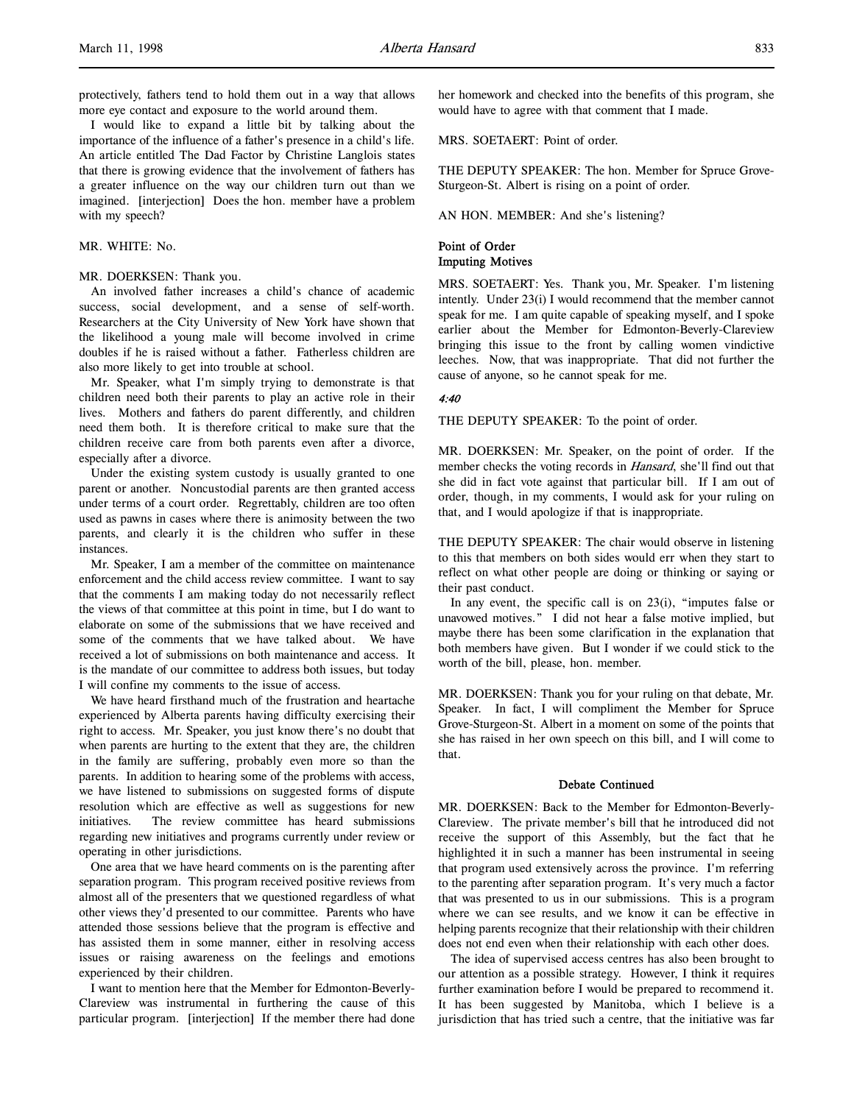protectively, fathers tend to hold them out in a way that allows more eye contact and exposure to the world around them.

I would like to expand a little bit by talking about the importance of the influence of a father's presence in a child's life. An article entitled The Dad Factor by Christine Langlois states that there is growing evidence that the involvement of fathers has a greater influence on the way our children turn out than we imagined. [interjection] Does the hon. member have a problem with my speech?

#### MR. WHITE: No.

#### MR. DOERKSEN: Thank you.

An involved father increases a child's chance of academic success, social development, and a sense of self-worth. Researchers at the City University of New York have shown that the likelihood a young male will become involved in crime doubles if he is raised without a father. Fatherless children are also more likely to get into trouble at school.

Mr. Speaker, what I'm simply trying to demonstrate is that children need both their parents to play an active role in their lives. Mothers and fathers do parent differently, and children need them both. It is therefore critical to make sure that the children receive care from both parents even after a divorce, especially after a divorce.

Under the existing system custody is usually granted to one parent or another. Noncustodial parents are then granted access under terms of a court order. Regrettably, children are too often used as pawns in cases where there is animosity between the two parents, and clearly it is the children who suffer in these instances.

Mr. Speaker, I am a member of the committee on maintenance enforcement and the child access review committee. I want to say that the comments I am making today do not necessarily reflect the views of that committee at this point in time, but I do want to elaborate on some of the submissions that we have received and some of the comments that we have talked about. We have received a lot of submissions on both maintenance and access. It is the mandate of our committee to address both issues, but today I will confine my comments to the issue of access.

We have heard firsthand much of the frustration and heartache experienced by Alberta parents having difficulty exercising their right to access. Mr. Speaker, you just know there's no doubt that when parents are hurting to the extent that they are, the children in the family are suffering, probably even more so than the parents. In addition to hearing some of the problems with access, we have listened to submissions on suggested forms of dispute resolution which are effective as well as suggestions for new initiatives. The review committee has heard submissions regarding new initiatives and programs currently under review or operating in other jurisdictions.

One area that we have heard comments on is the parenting after separation program. This program received positive reviews from almost all of the presenters that we questioned regardless of what other views they'd presented to our committee. Parents who have attended those sessions believe that the program is effective and has assisted them in some manner, either in resolving access issues or raising awareness on the feelings and emotions experienced by their children.

I want to mention here that the Member for Edmonton-Beverly-Clareview was instrumental in furthering the cause of this particular program. [interjection] If the member there had done

her homework and checked into the benefits of this program, she would have to agree with that comment that I made.

MRS. SOETAERT: Point of order.

THE DEPUTY SPEAKER: The hon. Member for Spruce Grove-Sturgeon-St. Albert is rising on a point of order.

AN HON. MEMBER: And she's listening?

#### Point of Order Imputing Motives

MRS. SOETAERT: Yes. Thank you, Mr. Speaker. I'm listening intently. Under 23(i) I would recommend that the member cannot speak for me. I am quite capable of speaking myself, and I spoke earlier about the Member for Edmonton-Beverly-Clareview bringing this issue to the front by calling women vindictive leeches. Now, that was inappropriate. That did not further the cause of anyone, so he cannot speak for me.

#### 4:40

THE DEPUTY SPEAKER: To the point of order.

MR. DOERKSEN: Mr. Speaker, on the point of order. If the member checks the voting records in Hansard, she'll find out that she did in fact vote against that particular bill. If I am out of order, though, in my comments, I would ask for your ruling on that, and I would apologize if that is inappropriate.

THE DEPUTY SPEAKER: The chair would observe in listening to this that members on both sides would err when they start to reflect on what other people are doing or thinking or saying or their past conduct.

In any event, the specific call is on 23(i), "imputes false or unavowed motives." I did not hear a false motive implied, but maybe there has been some clarification in the explanation that both members have given. But I wonder if we could stick to the worth of the bill, please, hon. member.

MR. DOERKSEN: Thank you for your ruling on that debate, Mr. Speaker. In fact, I will compliment the Member for Spruce Grove-Sturgeon-St. Albert in a moment on some of the points that she has raised in her own speech on this bill, and I will come to that.

#### Debate Continued

MR. DOERKSEN: Back to the Member for Edmonton-Beverly-Clareview. The private member's bill that he introduced did not receive the support of this Assembly, but the fact that he highlighted it in such a manner has been instrumental in seeing that program used extensively across the province. I'm referring to the parenting after separation program. It's very much a factor that was presented to us in our submissions. This is a program where we can see results, and we know it can be effective in helping parents recognize that their relationship with their children does not end even when their relationship with each other does.

The idea of supervised access centres has also been brought to our attention as a possible strategy. However, I think it requires further examination before I would be prepared to recommend it. It has been suggested by Manitoba, which I believe is a jurisdiction that has tried such a centre, that the initiative was far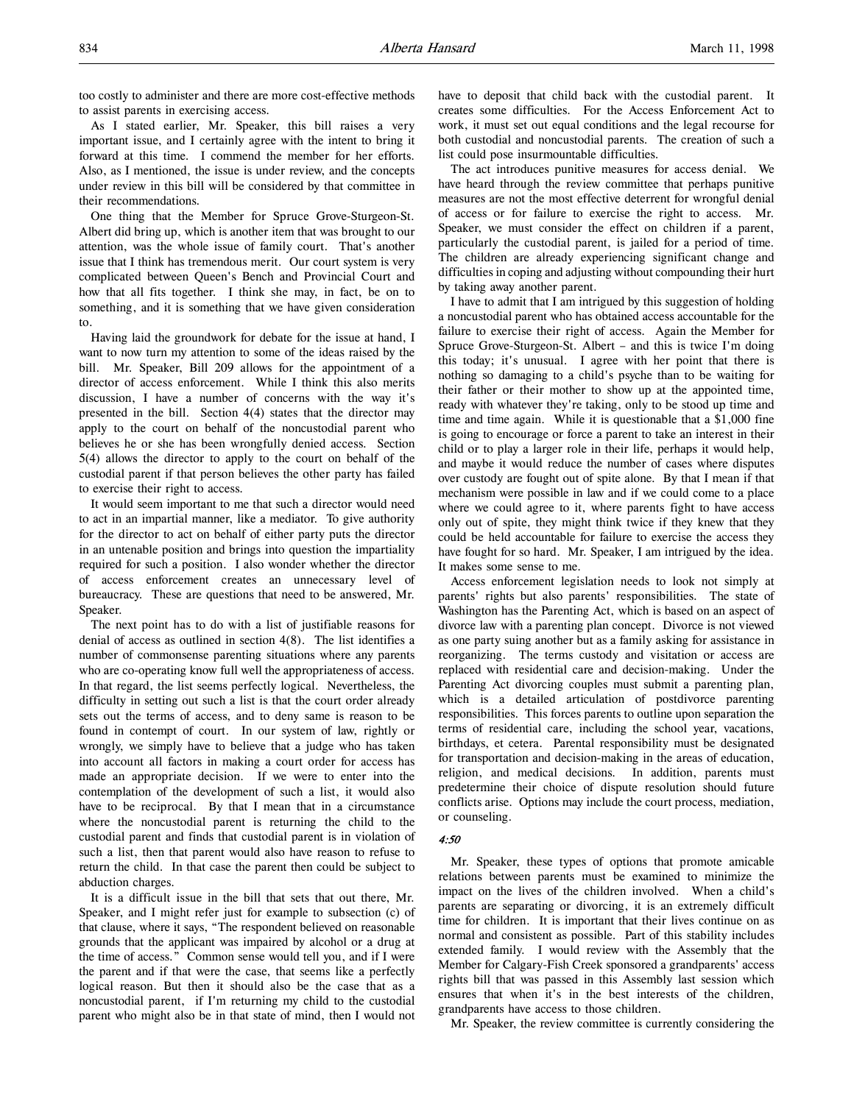too costly to administer and there are more cost-effective methods to assist parents in exercising access.

As I stated earlier, Mr. Speaker, this bill raises a very important issue, and I certainly agree with the intent to bring it forward at this time. I commend the member for her efforts. Also, as I mentioned, the issue is under review, and the concepts under review in this bill will be considered by that committee in their recommendations.

One thing that the Member for Spruce Grove-Sturgeon-St. Albert did bring up, which is another item that was brought to our attention, was the whole issue of family court. That's another issue that I think has tremendous merit. Our court system is very complicated between Queen's Bench and Provincial Court and how that all fits together. I think she may, in fact, be on to something, and it is something that we have given consideration to.

Having laid the groundwork for debate for the issue at hand, I want to now turn my attention to some of the ideas raised by the bill. Mr. Speaker, Bill 209 allows for the appointment of a director of access enforcement. While I think this also merits discussion, I have a number of concerns with the way it's presented in the bill. Section 4(4) states that the director may apply to the court on behalf of the noncustodial parent who believes he or she has been wrongfully denied access. Section 5(4) allows the director to apply to the court on behalf of the custodial parent if that person believes the other party has failed to exercise their right to access.

It would seem important to me that such a director would need to act in an impartial manner, like a mediator. To give authority for the director to act on behalf of either party puts the director in an untenable position and brings into question the impartiality required for such a position. I also wonder whether the director of access enforcement creates an unnecessary level of bureaucracy. These are questions that need to be answered, Mr. Speaker.

The next point has to do with a list of justifiable reasons for denial of access as outlined in section 4(8). The list identifies a number of commonsense parenting situations where any parents who are co-operating know full well the appropriateness of access. In that regard, the list seems perfectly logical. Nevertheless, the difficulty in setting out such a list is that the court order already sets out the terms of access, and to deny same is reason to be found in contempt of court. In our system of law, rightly or wrongly, we simply have to believe that a judge who has taken into account all factors in making a court order for access has made an appropriate decision. If we were to enter into the contemplation of the development of such a list, it would also have to be reciprocal. By that I mean that in a circumstance where the noncustodial parent is returning the child to the custodial parent and finds that custodial parent is in violation of such a list, then that parent would also have reason to refuse to return the child. In that case the parent then could be subject to abduction charges.

It is a difficult issue in the bill that sets that out there, Mr. Speaker, and I might refer just for example to subsection (c) of that clause, where it says, "The respondent believed on reasonable grounds that the applicant was impaired by alcohol or a drug at the time of access." Common sense would tell you, and if I were the parent and if that were the case, that seems like a perfectly logical reason. But then it should also be the case that as a noncustodial parent, if I'm returning my child to the custodial parent who might also be in that state of mind, then I would not

have to deposit that child back with the custodial parent. It creates some difficulties. For the Access Enforcement Act to work, it must set out equal conditions and the legal recourse for both custodial and noncustodial parents. The creation of such a list could pose insurmountable difficulties.

The act introduces punitive measures for access denial. We have heard through the review committee that perhaps punitive measures are not the most effective deterrent for wrongful denial of access or for failure to exercise the right to access. Mr. Speaker, we must consider the effect on children if a parent, particularly the custodial parent, is jailed for a period of time. The children are already experiencing significant change and difficulties in coping and adjusting without compounding their hurt by taking away another parent.

I have to admit that I am intrigued by this suggestion of holding a noncustodial parent who has obtained access accountable for the failure to exercise their right of access. Again the Member for Spruce Grove-Sturgeon-St. Albert – and this is twice I'm doing this today; it's unusual. I agree with her point that there is nothing so damaging to a child's psyche than to be waiting for their father or their mother to show up at the appointed time, ready with whatever they're taking, only to be stood up time and time and time again. While it is questionable that a \$1,000 fine is going to encourage or force a parent to take an interest in their child or to play a larger role in their life, perhaps it would help, and maybe it would reduce the number of cases where disputes over custody are fought out of spite alone. By that I mean if that mechanism were possible in law and if we could come to a place where we could agree to it, where parents fight to have access only out of spite, they might think twice if they knew that they could be held accountable for failure to exercise the access they have fought for so hard. Mr. Speaker, I am intrigued by the idea. It makes some sense to me.

Access enforcement legislation needs to look not simply at parents' rights but also parents' responsibilities. The state of Washington has the Parenting Act, which is based on an aspect of divorce law with a parenting plan concept. Divorce is not viewed as one party suing another but as a family asking for assistance in reorganizing. The terms custody and visitation or access are replaced with residential care and decision-making. Under the Parenting Act divorcing couples must submit a parenting plan, which is a detailed articulation of postdivorce parenting responsibilities. This forces parents to outline upon separation the terms of residential care, including the school year, vacations, birthdays, et cetera. Parental responsibility must be designated for transportation and decision-making in the areas of education, religion, and medical decisions. In addition, parents must predetermine their choice of dispute resolution should future conflicts arise. Options may include the court process, mediation, or counseling.

#### 4:50

Mr. Speaker, these types of options that promote amicable relations between parents must be examined to minimize the impact on the lives of the children involved. When a child's parents are separating or divorcing, it is an extremely difficult time for children. It is important that their lives continue on as normal and consistent as possible. Part of this stability includes extended family. I would review with the Assembly that the Member for Calgary-Fish Creek sponsored a grandparents' access rights bill that was passed in this Assembly last session which ensures that when it's in the best interests of the children, grandparents have access to those children.

Mr. Speaker, the review committee is currently considering the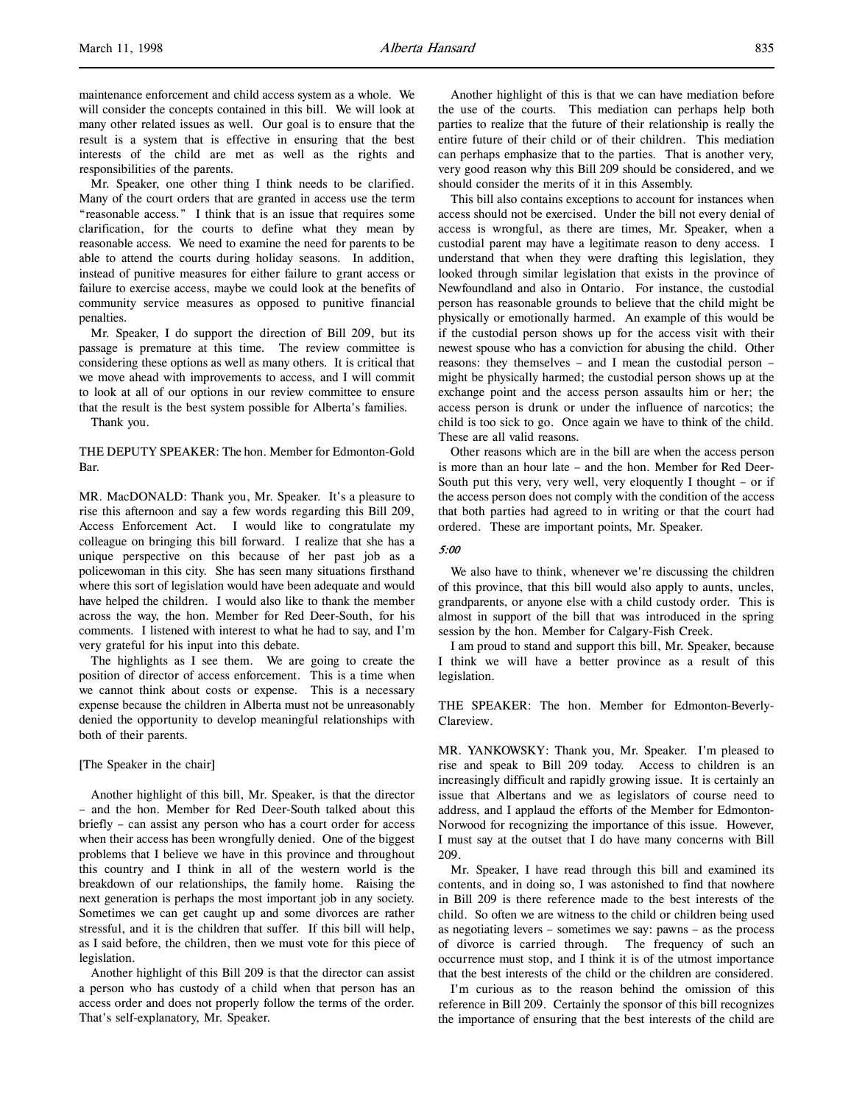maintenance enforcement and child access system as a whole. We will consider the concepts contained in this bill. We will look at many other related issues as well. Our goal is to ensure that the result is a system that is effective in ensuring that the best interests of the child are met as well as the rights and responsibilities of the parents.

Mr. Speaker, one other thing I think needs to be clarified. Many of the court orders that are granted in access use the term "reasonable access." I think that is an issue that requires some clarification, for the courts to define what they mean by reasonable access. We need to examine the need for parents to be able to attend the courts during holiday seasons. In addition, instead of punitive measures for either failure to grant access or failure to exercise access, maybe we could look at the benefits of community service measures as opposed to punitive financial penalties.

Mr. Speaker, I do support the direction of Bill 209, but its passage is premature at this time. The review committee is considering these options as well as many others. It is critical that we move ahead with improvements to access, and I will commit to look at all of our options in our review committee to ensure that the result is the best system possible for Alberta's families.

Thank you.

#### THE DEPUTY SPEAKER: The hon. Member for Edmonton-Gold Bar.

MR. MacDONALD: Thank you, Mr. Speaker. It's a pleasure to rise this afternoon and say a few words regarding this Bill 209, Access Enforcement Act. I would like to congratulate my colleague on bringing this bill forward. I realize that she has a unique perspective on this because of her past job as a policewoman in this city. She has seen many situations firsthand where this sort of legislation would have been adequate and would have helped the children. I would also like to thank the member across the way, the hon. Member for Red Deer-South, for his comments. I listened with interest to what he had to say, and I'm very grateful for his input into this debate.

The highlights as I see them. We are going to create the position of director of access enforcement. This is a time when we cannot think about costs or expense. This is a necessary expense because the children in Alberta must not be unreasonably denied the opportunity to develop meaningful relationships with both of their parents.

#### [The Speaker in the chair]

Another highlight of this bill, Mr. Speaker, is that the director – and the hon. Member for Red Deer-South talked about this briefly – can assist any person who has a court order for access when their access has been wrongfully denied. One of the biggest problems that I believe we have in this province and throughout this country and I think in all of the western world is the breakdown of our relationships, the family home. Raising the next generation is perhaps the most important job in any society. Sometimes we can get caught up and some divorces are rather stressful, and it is the children that suffer. If this bill will help, as I said before, the children, then we must vote for this piece of legislation.

Another highlight of this Bill 209 is that the director can assist a person who has custody of a child when that person has an access order and does not properly follow the terms of the order. That's self-explanatory, Mr. Speaker.

Another highlight of this is that we can have mediation before the use of the courts. This mediation can perhaps help both parties to realize that the future of their relationship is really the entire future of their child or of their children. This mediation can perhaps emphasize that to the parties. That is another very, very good reason why this Bill 209 should be considered, and we should consider the merits of it in this Assembly.

This bill also contains exceptions to account for instances when access should not be exercised. Under the bill not every denial of access is wrongful, as there are times, Mr. Speaker, when a custodial parent may have a legitimate reason to deny access. I understand that when they were drafting this legislation, they looked through similar legislation that exists in the province of Newfoundland and also in Ontario. For instance, the custodial person has reasonable grounds to believe that the child might be physically or emotionally harmed. An example of this would be if the custodial person shows up for the access visit with their newest spouse who has a conviction for abusing the child. Other reasons: they themselves – and I mean the custodial person – might be physically harmed; the custodial person shows up at the exchange point and the access person assaults him or her; the access person is drunk or under the influence of narcotics; the child is too sick to go. Once again we have to think of the child. These are all valid reasons.

Other reasons which are in the bill are when the access person is more than an hour late – and the hon. Member for Red Deer-South put this very, very well, very eloquently I thought – or if the access person does not comply with the condition of the access that both parties had agreed to in writing or that the court had ordered. These are important points, Mr. Speaker.

### 5:00

We also have to think, whenever we're discussing the children of this province, that this bill would also apply to aunts, uncles, grandparents, or anyone else with a child custody order. This is almost in support of the bill that was introduced in the spring session by the hon. Member for Calgary-Fish Creek.

I am proud to stand and support this bill, Mr. Speaker, because I think we will have a better province as a result of this legislation.

THE SPEAKER: The hon. Member for Edmonton-Beverly-Clareview.

MR. YANKOWSKY: Thank you, Mr. Speaker. I'm pleased to rise and speak to Bill 209 today. Access to children is an increasingly difficult and rapidly growing issue. It is certainly an issue that Albertans and we as legislators of course need to address, and I applaud the efforts of the Member for Edmonton-Norwood for recognizing the importance of this issue. However, I must say at the outset that I do have many concerns with Bill 209.

Mr. Speaker, I have read through this bill and examined its contents, and in doing so, I was astonished to find that nowhere in Bill 209 is there reference made to the best interests of the child. So often we are witness to the child or children being used as negotiating levers – sometimes we say: pawns – as the process of divorce is carried through. The frequency of such an occurrence must stop, and I think it is of the utmost importance that the best interests of the child or the children are considered.

I'm curious as to the reason behind the omission of this reference in Bill 209. Certainly the sponsor of this bill recognizes the importance of ensuring that the best interests of the child are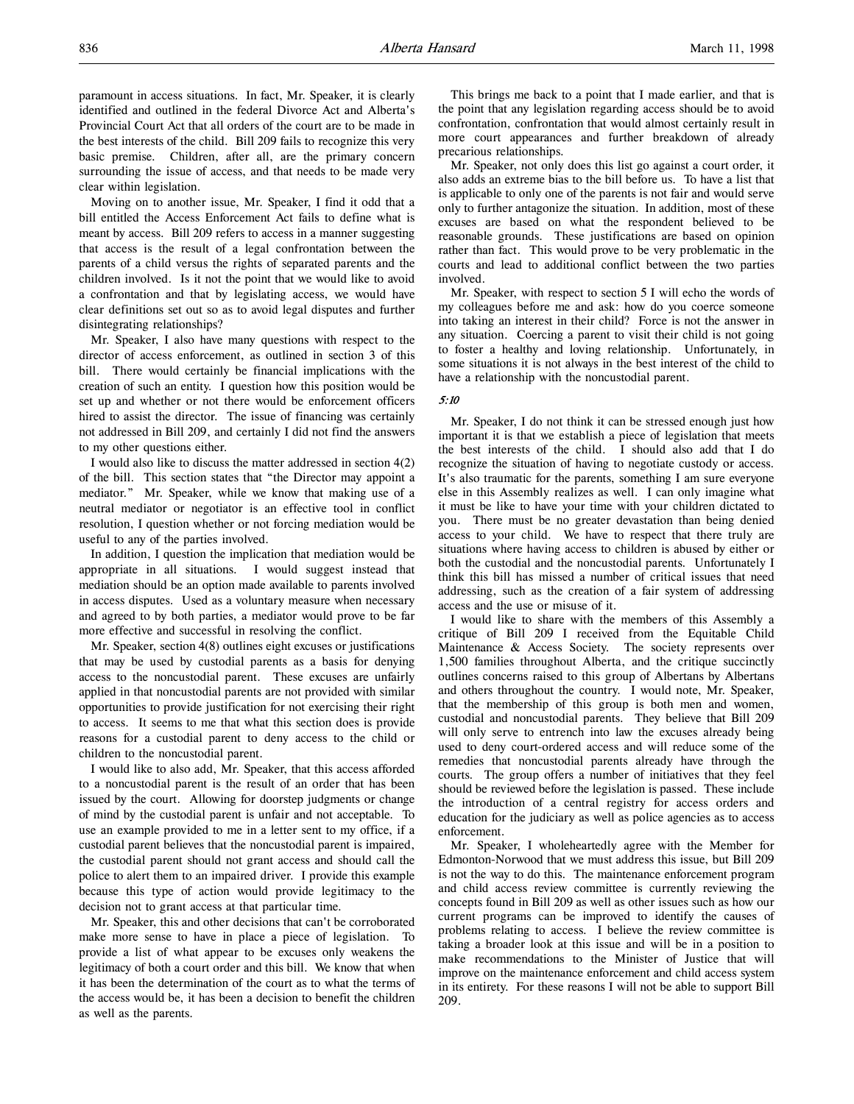paramount in access situations. In fact, Mr. Speaker, it is clearly identified and outlined in the federal Divorce Act and Alberta's Provincial Court Act that all orders of the court are to be made in the best interests of the child. Bill 209 fails to recognize this very basic premise. Children, after all, are the primary concern surrounding the issue of access, and that needs to be made very clear within legislation.

Moving on to another issue, Mr. Speaker, I find it odd that a bill entitled the Access Enforcement Act fails to define what is meant by access. Bill 209 refers to access in a manner suggesting that access is the result of a legal confrontation between the parents of a child versus the rights of separated parents and the children involved. Is it not the point that we would like to avoid a confrontation and that by legislating access, we would have clear definitions set out so as to avoid legal disputes and further disintegrating relationships?

Mr. Speaker, I also have many questions with respect to the director of access enforcement, as outlined in section 3 of this bill. There would certainly be financial implications with the creation of such an entity. I question how this position would be set up and whether or not there would be enforcement officers hired to assist the director. The issue of financing was certainly not addressed in Bill 209, and certainly I did not find the answers to my other questions either.

I would also like to discuss the matter addressed in section 4(2) of the bill. This section states that "the Director may appoint a mediator." Mr. Speaker, while we know that making use of a neutral mediator or negotiator is an effective tool in conflict resolution, I question whether or not forcing mediation would be useful to any of the parties involved.

In addition, I question the implication that mediation would be appropriate in all situations. I would suggest instead that mediation should be an option made available to parents involved in access disputes. Used as a voluntary measure when necessary and agreed to by both parties, a mediator would prove to be far more effective and successful in resolving the conflict.

Mr. Speaker, section 4(8) outlines eight excuses or justifications that may be used by custodial parents as a basis for denying access to the noncustodial parent. These excuses are unfairly applied in that noncustodial parents are not provided with similar opportunities to provide justification for not exercising their right to access. It seems to me that what this section does is provide reasons for a custodial parent to deny access to the child or children to the noncustodial parent.

I would like to also add, Mr. Speaker, that this access afforded to a noncustodial parent is the result of an order that has been issued by the court. Allowing for doorstep judgments or change of mind by the custodial parent is unfair and not acceptable. To use an example provided to me in a letter sent to my office, if a custodial parent believes that the noncustodial parent is impaired, the custodial parent should not grant access and should call the police to alert them to an impaired driver. I provide this example because this type of action would provide legitimacy to the decision not to grant access at that particular time.

Mr. Speaker, this and other decisions that can't be corroborated make more sense to have in place a piece of legislation. To provide a list of what appear to be excuses only weakens the legitimacy of both a court order and this bill. We know that when it has been the determination of the court as to what the terms of the access would be, it has been a decision to benefit the children as well as the parents.

This brings me back to a point that I made earlier, and that is the point that any legislation regarding access should be to avoid confrontation, confrontation that would almost certainly result in more court appearances and further breakdown of already precarious relationships.

Mr. Speaker, not only does this list go against a court order, it also adds an extreme bias to the bill before us. To have a list that is applicable to only one of the parents is not fair and would serve only to further antagonize the situation. In addition, most of these excuses are based on what the respondent believed to be reasonable grounds. These justifications are based on opinion rather than fact. This would prove to be very problematic in the courts and lead to additional conflict between the two parties involved.

Mr. Speaker, with respect to section 5 I will echo the words of my colleagues before me and ask: how do you coerce someone into taking an interest in their child? Force is not the answer in any situation. Coercing a parent to visit their child is not going to foster a healthy and loving relationship. Unfortunately, in some situations it is not always in the best interest of the child to have a relationship with the noncustodial parent.

#### 5:10

Mr. Speaker, I do not think it can be stressed enough just how important it is that we establish a piece of legislation that meets the best interests of the child. I should also add that I do recognize the situation of having to negotiate custody or access. It's also traumatic for the parents, something I am sure everyone else in this Assembly realizes as well. I can only imagine what it must be like to have your time with your children dictated to you. There must be no greater devastation than being denied access to your child. We have to respect that there truly are situations where having access to children is abused by either or both the custodial and the noncustodial parents. Unfortunately I think this bill has missed a number of critical issues that need addressing, such as the creation of a fair system of addressing access and the use or misuse of it.

I would like to share with the members of this Assembly a critique of Bill 209 I received from the Equitable Child Maintenance & Access Society. The society represents over 1,500 families throughout Alberta, and the critique succinctly outlines concerns raised to this group of Albertans by Albertans and others throughout the country. I would note, Mr. Speaker, that the membership of this group is both men and women, custodial and noncustodial parents. They believe that Bill 209 will only serve to entrench into law the excuses already being used to deny court-ordered access and will reduce some of the remedies that noncustodial parents already have through the courts. The group offers a number of initiatives that they feel should be reviewed before the legislation is passed. These include the introduction of a central registry for access orders and education for the judiciary as well as police agencies as to access enforcement.

Mr. Speaker, I wholeheartedly agree with the Member for Edmonton-Norwood that we must address this issue, but Bill 209 is not the way to do this. The maintenance enforcement program and child access review committee is currently reviewing the concepts found in Bill 209 as well as other issues such as how our current programs can be improved to identify the causes of problems relating to access. I believe the review committee is taking a broader look at this issue and will be in a position to make recommendations to the Minister of Justice that will improve on the maintenance enforcement and child access system in its entirety. For these reasons I will not be able to support Bill 209.